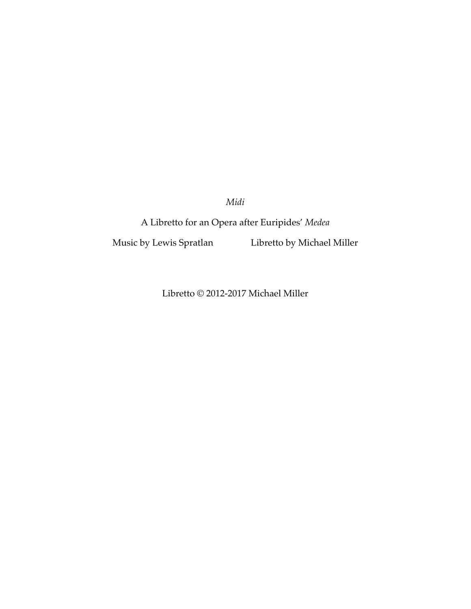*Midi*

A Libretto for an Opera after Euripides' *Medea*

Music by Lewis Spratlan Libretto by Michael Miller

Libretto © 2012-2017 Michael Miller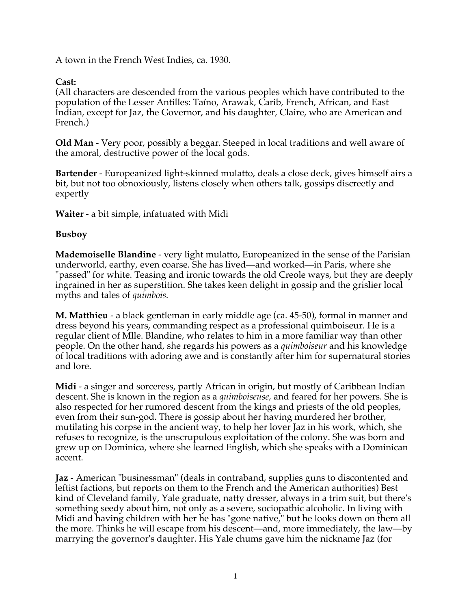A town in the French West Indies, ca. 1930.

## **Cast:**

(All characters are descended from the various peoples which have contributed to the population of the Lesser Antilles: Taíno, Arawak, Carib, French, African, and East Indian, except for Jaz, the Governor, and his daughter, Claire, who are American and French.)

**Old Man** - Very poor, possibly a beggar. Steeped in local traditions and well aware of the amoral, destructive power of the local gods.

**Bartender** - Europeanized light-skinned mulatto, deals a close deck, gives himself airs a bit, but not too obnoxiously, listens closely when others talk, gossips discreetly and expertly

**Waiter** - a bit simple, infatuated with Midi

## **Busboy**

**Mademoiselle Blandine** - very light mulatto, Europeanized in the sense of the Parisian underworld, earthy, even coarse. She has lived—and worked—in Paris, where she "passed" for white. Teasing and ironic towards the old Creole ways, but they are deeply ingrained in her as superstition. She takes keen delight in gossip and the grislier local myths and tales of *quimbois.*

**M. Matthieu** - a black gentleman in early middle age (ca. 45-50), formal in manner and dress beyond his years, commanding respect as a professional quimboiseur. He is a regular client of Mlle. Blandine, who relates to him in a more familiar way than other people. On the other hand, she regards his powers as a *quimboiseur* and his knowledge of local traditions with adoring awe and is constantly after him for supernatural stories and lore.

**Midi** - a singer and sorceress, partly African in origin, but mostly of Caribbean Indian descent. She is known in the region as a *quimboiseuse,* and feared for her powers. She is also respected for her rumored descent from the kings and priests of the old peoples, even from their sun-god. There is gossip about her having murdered her brother, mutilating his corpse in the ancient way, to help her lover Jaz in his work, which, she refuses to recognize, is the unscrupulous exploitation of the colony. She was born and grew up on Dominica, where she learned English, which she speaks with a Dominican accent.

**Jaz** - American "businessman" (deals in contraband, supplies guns to discontented and leftist factions, but reports on them to the French and the American authorities) Best kind of Cleveland family, Yale graduate, natty dresser, always in a trim suit, but there's something seedy about him, not only as a severe, sociopathic alcoholic. In living with Midi and having children with her he has "gone native," but he looks down on them all the more. Thinks he will escape from his descent—and, more immediately, the law—by marrying the governor's daughter. His Yale chums gave him the nickname Jaz (for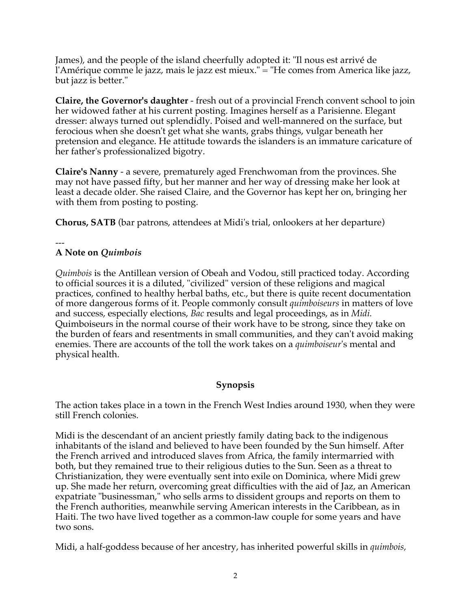James), and the people of the island cheerfully adopted it: "Il nous est arrivé de l'Amérique comme le jazz, mais le jazz est mieux." = "He comes from America like jazz, but jazz is better."

**Claire, the Governor's daughter** - fresh out of a provincial French convent school to join her widowed father at his current posting. Imagines herself as a Parisienne. Elegant dresser: always turned out splendidly. Poised and well-mannered on the surface, but ferocious when she doesn't get what she wants, grabs things, vulgar beneath her pretension and elegance. He attitude towards the islanders is an immature caricature of her father's professionalized bigotry.

**Claire's Nanny** - a severe, prematurely aged Frenchwoman from the provinces. She may not have passed fifty, but her manner and her way of dressing make her look at least a decade older. She raised Claire, and the Governor has kept her on, bringing her with them from posting to posting.

**Chorus, SATB** (bar patrons, attendees at Midi's trial, onlookers at her departure)

#### --- **A Note on** *Quimbois*

*Quimbois* is the Antillean version of Obeah and Vodou, still practiced today. According to official sources it is a diluted, "civilized" version of these religions and magical practices, confined to healthy herbal baths, etc., but there is quite recent documentation of more dangerous forms of it. People commonly consult *quimboiseurs* in matters of love and success, especially elections, *Bac* results and legal proceedings, as in *Midi.*  Quimboiseurs in the normal course of their work have to be strong, since they take on the burden of fears and resentments in small communities, and they can't avoid making enemies. There are accounts of the toll the work takes on a *quimboiseur*'s mental and physical health.

## **Synopsis**

The action takes place in a town in the French West Indies around 1930, when they were still French colonies.

Midi is the descendant of an ancient priestly family dating back to the indigenous inhabitants of the island and believed to have been founded by the Sun himself. After the French arrived and introduced slaves from Africa, the family intermarried with both, but they remained true to their religious duties to the Sun. Seen as a threat to Christianization, they were eventually sent into exile on Dominica, where Midi grew up. She made her return, overcoming great difficulties with the aid of Jaz, an American expatriate "businessman," who sells arms to dissident groups and reports on them to the French authorities, meanwhile serving American interests in the Caribbean, as in Haiti. The two have lived together as a common-law couple for some years and have two sons.

Midi, a half-goddess because of her ancestry, has inherited powerful skills in *quimbois,*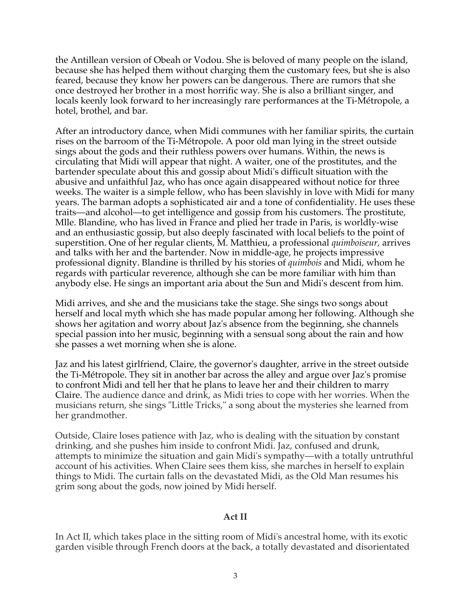the Antillean version of Obeah or Vodou. She is beloved of many people on the island, because she has helped them without charging them the customary fees, but she is also feared, because they know her powers can be dangerous. There are rumors that she once destroyed her brother in a most horrific way. She is also a brilliant singer, and locals keenly look forward to her increasingly rare performances at the Ti-Métropole, a hotel, brothel, and bar.

After an introductory dance, when Midi communes with her familiar spirits, the curtain rises on the barroom of the Ti-Métropole. A poor old man lying in the street outside sings about the gods and their ruthless powers over humans. Within, the news is circulating that Midi will appear that night. A waiter, one of the prostitutes, and the bartender speculate about this and gossip about Midi's difficult situation with the abusive and unfaithful Jaz, who has once again disappeared without notice for three weeks. The waiter is a simple fellow, who has been slavishly in love with Midi for many years. The barman adopts a sophisticated air and a tone of confidentiality. He uses these traits—and alcohol—to get intelligence and gossip from his customers. The prostitute, Mlle. Blandine, who has lived in France and plied her trade in Paris, is worldly-wise and an enthusiastic gossip, but also deeply fascinated with local beliefs to the point of superstition. One of her regular clients, M. Matthieu, a professional *quimboiseur,* arrives and talks with her and the bartender. Now in middle-age, he projects impressive professional dignity. Blandine is thrilled by his stories of *quimbois* and Midi, whom he regards with particular reverence, although she can be more familiar with him than anybody else. He sings an important aria about the Sun and Midi's descent from him.

Midi arrives, and she and the musicians take the stage. She sings two songs about herself and local myth which she has made popular among her following. Although she shows her agitation and worry about Jaz's absence from the beginning, she channels special passion into her music, beginning with a sensual song about the rain and how she passes a wet morning when she is alone.

Jaz and his latest girlfriend, Claire, the governor's daughter, arrive in the street outside the Ti-Métropole. They sit in another bar across the alley and argue over Jaz's promise to confront Midi and tell her that he plans to leave her and their children to marry Claire. The audience dance and drink, as Midi tries to cope with her worries. When the musicians return, she sings "Little Tricks," a song about the mysteries she learned from her grandmother.

Outside, Claire loses patience with Jaz, who is dealing with the situation by constant drinking, and she pushes him inside to confront Midi. Jaz, confused and drunk, attempts to minimize the situation and gain Midi's sympathy—with a totally untruthful account of his activities. When Claire sees them kiss, she marches in herself to explain things to Midi. The curtain falls on the devastated Midi, as the Old Man resumes his grim song about the gods, now joined by Midi herself.

## **Act II**

In Act II, which takes place in the sitting room of Midi's ancestral home, with its exotic garden visible through French doors at the back, a totally devastated and disorientated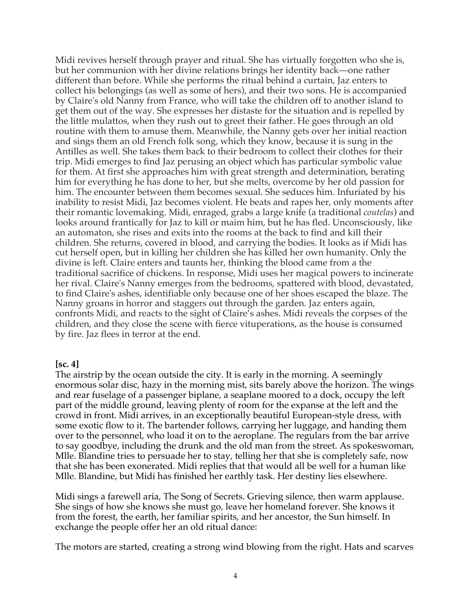Midi revives herself through prayer and ritual. She has virtually forgotten who she is, but her communion with her divine relations brings her identity back—one rather different than before. While she performs the ritual behind a curtain, Jaz enters to collect his belongings (as well as some of hers), and their two sons. He is accompanied by Claire's old Nanny from France, who will take the children off to another island to get them out of the way. She expresses her distaste for the situation and is repelled by the little mulattos, when they rush out to greet their father. He goes through an old routine with them to amuse them. Meanwhile, the Nanny gets over her initial reaction and sings them an old French folk song, which they know, because it is sung in the Antilles as well. She takes them back to their bedroom to collect their clothes for their trip. Midi emerges to find Jaz perusing an object which has particular symbolic value for them. At first she approaches him with great strength and determination, berating him for everything he has done to her, but she melts, overcome by her old passion for him. The encounter between them becomes sexual. She seduces him. Infuriated by his inability to resist Midi, Jaz becomes violent. He beats and rapes her, only moments after their romantic lovemaking. Midi, enraged, grabs a large knife (a traditional *coutelas*) and looks around frantically for Jaz to kill or maim him, but he has fled. Unconsciously, like an automaton, she rises and exits into the rooms at the back to find and kill their children. She returns, covered in blood, and carrying the bodies. It looks as if Midi has cut herself open, but in killing her children she has killed her own humanity. Only the divine is left. Claire enters and taunts her, thinking the blood came from a the traditional sacrifice of chickens. In response, Midi uses her magical powers to incinerate her rival. Claire's Nanny emerges from the bedrooms, spattered with blood, devastated, to find Claire's ashes, identifiable only because one of her shoes escaped the blaze. The Nanny groans in horror and staggers out through the garden. Jaz enters again, confronts Midi, and reacts to the sight of Claire's ashes. Midi reveals the corpses of the children, and they close the scene with fierce vituperations, as the house is consumed by fire. Jaz flees in terror at the end.

#### **[sc. 4]**

The airstrip by the ocean outside the city. It is early in the morning. A seemingly enormous solar disc, hazy in the morning mist, sits barely above the horizon. The wings and rear fuselage of a passenger biplane, a seaplane moored to a dock, occupy the left part of the middle ground, leaving plenty of room for the expanse at the left and the crowd in front. Midi arrives, in an exceptionally beautiful European-style dress, with some exotic flow to it. The bartender follows, carrying her luggage, and handing them over to the personnel, who load it on to the aeroplane. The regulars from the bar arrive to say goodbye, including the drunk and the old man from the street. As spokeswoman, Mlle. Blandine tries to persuade her to stay, telling her that she is completely safe, now that she has been exonerated. Midi replies that that would all be well for a human like Mlle. Blandine, but Midi has finished her earthly task. Her destiny lies elsewhere.

Midi sings a farewell aria, The Song of Secrets. Grieving silence, then warm applause. She sings of how she knows she must go, leave her homeland forever. She knows it from the forest, the earth, her familiar spirits, and her ancestor, the Sun himself. In exchange the people offer her an old ritual dance:

The motors are started, creating a strong wind blowing from the right. Hats and scarves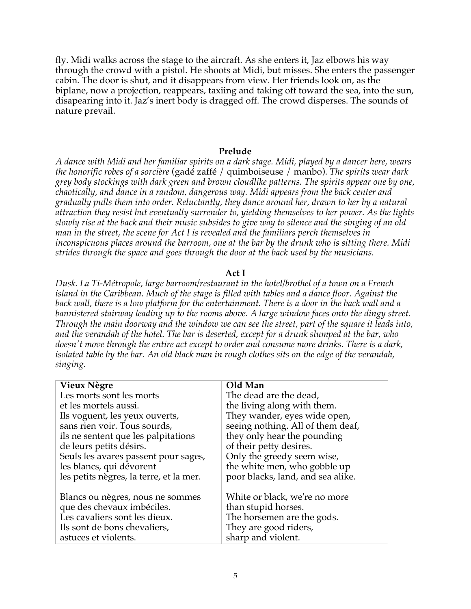fly. Midi walks across the stage to the aircraft. As she enters it, Jaz elbows his way through the crowd with a pistol. He shoots at Midi, but misses. She enters the passenger cabin. The door is shut, and it disappears from view. Her friends look on, as the biplane, now a projection, reappears, taxiing and taking off toward the sea, into the sun, disapearing into it. Jaz's inert body is dragged off. The crowd disperses. The sounds of nature prevail.

#### **Prelude**

*A dance with Midi and her familiar spirits on a dark stage. Midi, played by a dancer here, wears the honorific robes of a sorcière* (gadé zaffé / quimboiseuse / manbo). *The spirits wear dark grey body stockings with dark green and brown cloudlike patterns. The spirits appear one by one, chaotically, and dance in a random, dangerous way. Midi appears from the back center and gradually pulls them into order. Reluctantly, they dance around her, drawn to her by a natural attraction they resist but eventually surrender to, yielding themselves to her power. As the lights slowly rise at the back and their music subsides to give way to silence and the singing of an old man in the street, the scene for Act I is revealed and the familiars perch themselves in inconspicuous places around the barroom, one at the bar by the drunk who is sitting there. Midi strides through the space and goes through the door at the back used by the musicians.* 

#### **Act I**

*Dusk. La Ti-Métropole, large barroom/restaurant in the hotel/brothel of a town on a French island in the Caribbean. Much of the stage is filled with tables and a dance floor. Against the back wall, there is a low platform for the entertainment. There is a door in the back wall and a bannistered stairway leading up to the rooms above. A large window faces onto the dingy street. Through the main doorway and the window we can see the street, part of the square it leads into, and the verandah of the hotel. The bar is deserted, except for a drunk slumped at the bar, who doesn't move through the entire act except to order and consume more drinks. There is a dark, isolated table by the bar. An old black man in rough clothes sits on the edge of the verandah, singing.*

| Vieux Nègre                             | Old Man                           |
|-----------------------------------------|-----------------------------------|
| Les morts sont les morts                | The dead are the dead,            |
| et les mortels aussi.                   | the living along with them.       |
| Ils voguent, les yeux ouverts,          | They wander, eyes wide open,      |
| sans rien voir. Tous sourds,            | seeing nothing. All of them deaf, |
| ils ne sentent que les palpitations     | they only hear the pounding       |
| de leurs petits désirs.                 | of their petty desires.           |
| Seuls les avares passent pour sages,    | Only the greedy seem wise,        |
| les blancs, qui dévorent                | the white men, who gobble up      |
| les petits nègres, la terre, et la mer. | poor blacks, land, and sea alike. |
|                                         |                                   |
| Blancs ou nègres, nous ne sommes        | White or black, we're no more     |
| que des chevaux imbéciles.              | than stupid horses.               |
| Les cavaliers sont les dieux.           | The horsemen are the gods.        |
| Ils sont de bons chevaliers,            | They are good riders,             |
| astuces et violents.                    | sharp and violent.                |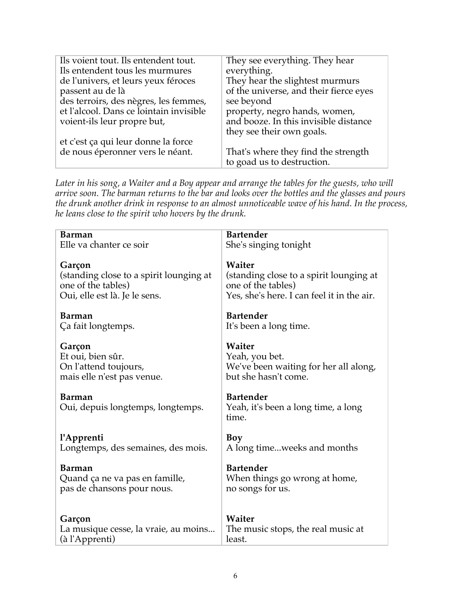| Ils voient tout. Ils entendent tout.    | They see everything. They hear         |
|-----------------------------------------|----------------------------------------|
| Ils entendent tous les murmures         | everything.                            |
| de l'univers, et leurs yeux féroces     | They hear the slightest murmurs        |
| passent au de là                        | of the universe, and their fierce eyes |
| des terroirs, des nègres, les femmes,   | see beyond                             |
| et l'alcool. Dans ce lointain invisible | property, negro hands, women,          |
| voient-ils leur propre but,             | and booze. In this invisible distance  |
|                                         | they see their own goals.              |
| et c'est ça qui leur donne la force     |                                        |
| de nous éperonner vers le néant.        | That's where they find the strength    |
|                                         | to goad us to destruction.             |

*Later in his song, a Waiter and a Boy appear and arrange the tables for the guests, who will arrive soon. The barman returns to the bar and looks over the bottles and the glasses and pours the drunk another drink in response to an almost unnoticeable wave of his hand. In the process, he leans close to the spirit who hovers by the drunk.*

| <b>Barman</b>                                      | <b>Bartender</b>                                                 |
|----------------------------------------------------|------------------------------------------------------------------|
| Elle va chanter ce soir                            | She's singing tonight                                            |
| Garçon                                             | Waiter                                                           |
| (standing close to a spirit lounging at            | (standing close to a spirit lounging at                          |
| one of the tables)                                 | one of the tables)                                               |
| Oui, elle est là. Je le sens.                      | Yes, she's here. I can feel it in the air.                       |
| Barman                                             | <b>Bartender</b>                                                 |
| Ça fait longtemps.                                 | It's been a long time.                                           |
| Garçon                                             | Waiter                                                           |
| Et oui, bien sûr.                                  | Yeah, you bet.                                                   |
| On l'attend toujours,                              | We've been waiting for her all along,                            |
| mais elle n'est pas venue.                         | but she hasn't come.                                             |
| <b>Barman</b><br>Oui, depuis longtemps, longtemps. | <b>Bartender</b><br>Yeah, it's been a long time, a long<br>time. |
| l'Apprenti                                         | Boy                                                              |
| Longtemps, des semaines, des mois.                 | A long timeweeks and months                                      |
| Barman                                             | <b>Bartender</b>                                                 |
| Quand ça ne va pas en famille,                     | When things go wrong at home,                                    |
| pas de chansons pour nous.                         | no songs for us.                                                 |
| Garçon                                             | Waiter                                                           |
| La musique cesse, la vraie, au moins               | The music stops, the real music at                               |
| (à l'Apprenti)                                     | least.                                                           |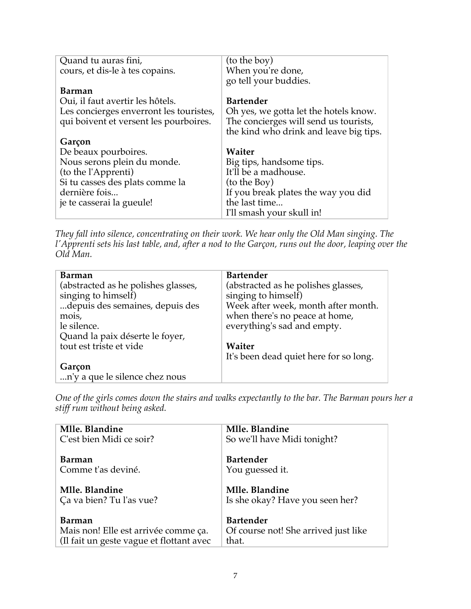| Quand tu auras fini,                    | (to the boy)                           |
|-----------------------------------------|----------------------------------------|
| cours, et dis-le à tes copains.         | When you're done,                      |
|                                         | go tell your buddies.                  |
| Barman                                  |                                        |
| Oui, il faut avertir les hôtels.        | <b>Bartender</b>                       |
| Les concierges enverront les touristes, | Oh yes, we gotta let the hotels know.  |
| qui boivent et versent les pourboires.  | The concierges will send us tourists,  |
|                                         | the kind who drink and leave big tips. |
| Garçon                                  |                                        |
| De beaux pourboires.                    | Waiter                                 |
| Nous serons plein du monde.             | Big tips, handsome tips.               |
| (to the l'Apprenti)                     | It'll be a madhouse.                   |
| Si tu casses des plats comme la         | (to the Boy)                           |
| dernière fois                           | If you break plates the way you did    |
| je te casserai la gueule!               | the last time                          |
|                                         | I'll smash your skull in!              |

*They fall into silence, concentrating on their work. We hear only the Old Man singing. The l'Apprenti sets his last table, and, after a nod to the Garçon, runs out the door, leaping over the Old Man.*

| Barman                              | <b>Bartender</b>                       |
|-------------------------------------|----------------------------------------|
| (abstracted as he polishes glasses, | (abstracted as he polishes glasses,    |
| singing to himsel $\bar{f}$ )       | singing to himself)                    |
| depuis des semaines, depuis des     | Week after week, month after month.    |
| mois,                               | when there's no peace at home,         |
| le silence.                         | everything's sad and empty.            |
| Quand la paix déserte le foyer,     |                                        |
| tout est triste et vide             | Waiter                                 |
|                                     | It's been dead quiet here for so long. |
| Garçon                              |                                        |
| n'y a que le silence chez nous      |                                        |

*One of the girls comes down the stairs and walks expectantly to the bar. The Barman pours her a stiff rum without being asked.*

| Mlle. Blandine                           | Mlle. Blandine                       |
|------------------------------------------|--------------------------------------|
| C'est bien Midi ce soir?                 | So we'll have Midi tonight?          |
| Barman                                   | <b>Bartender</b>                     |
| Comme t'as deviné.                       | You guessed it.                      |
|                                          |                                      |
| Mlle. Blandine                           | Mlle. Blandine                       |
| Ça va bien? Tu l'as vue?                 | Is she okay? Have you seen her?      |
|                                          |                                      |
| Barman                                   | <b>Bartender</b>                     |
| Mais non! Elle est arrivée comme ça.     | Of course not! She arrived just like |
| (Il fait un geste vague et flottant avec | that.                                |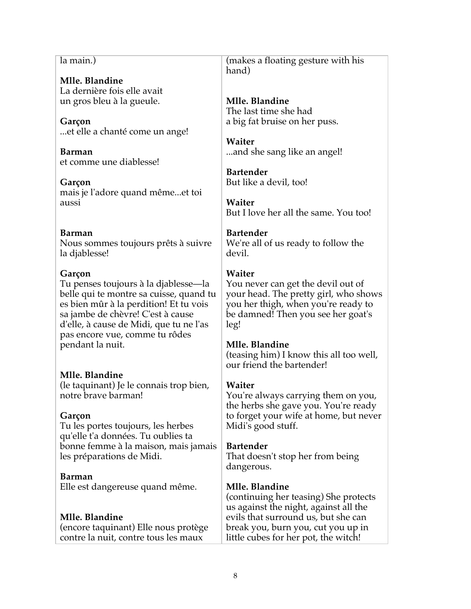**Mlle. Blandine** La dernière fois elle avait un gros bleu à la gueule. **Garçon** ...et elle a chanté come un ange! **Barman** et comme une diablesse! **Garçon** mais je l'adore quand même...et toi aussi **Barman** Nous sommes toujours prêts à suivre la djablesse! **Garçon** Tu penses toujours à la djablesse—la belle qui te montre sa cuisse, quand tu es bien mûr à la perdition! Et tu vois sa jambe de chèvre! C'est à cause d'elle, à cause de Midi, que tu ne l'as pas encore vue, comme tu rôdes pendant la nuit. **Mlle. Blandine** (le taquinant) Je le connais trop bien, notre brave barman! **Garçon** Tu les portes toujours, les herbes qu'elle t'a données. Tu oublies ta bonne femme à la maison, mais jamais les préparations de Midi. **Barman** Elle est dangereuse quand même. **Mlle. Blandine** (encore taquinant) Elle nous protège contre la nuit, contre tous les maux

la main.)

(makes a floating gesture with his hand)

**Mlle. Blandine** The last time she had a big fat bruise on her puss.

**Waiter** ...and she sang like an angel!

**Bartender** But like a devil, too!

**Waiter** But I love her all the same. You too!

# **Bartender**

We're all of us ready to follow the devil.

# **Waiter**

You never can get the devil out of your head. The pretty girl, who shows you her thigh, when you're ready to be damned! Then you see her goat's leg!

# **Mlle. Blandine**

(teasing him) I know this all too well, our friend the bartender!

# **Waiter**

You're always carrying them on you, the herbs she gave you. You're ready to forget your wife at home, but never Midi's good stuff.

# **Bartender**

That doesn't stop her from being dangerous.

# **Mlle. Blandine**

(continuing her teasing) She protects us against the night, against all the evils that surround us, but she can break you, burn you, cut you up in little cubes for her pot, the witch!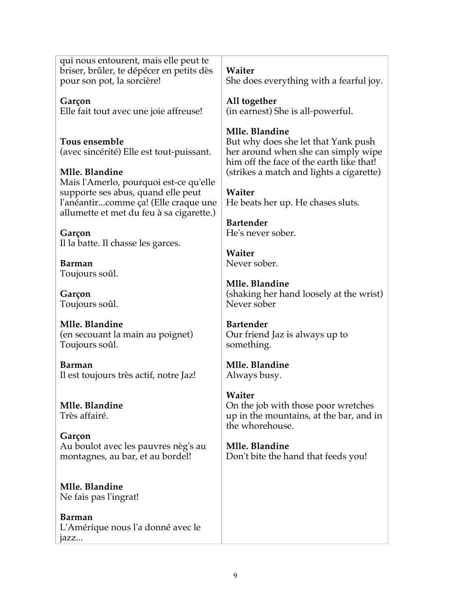qui nous entourent, mais elle peut te briser, brûler, te dépécer en petits dès pour son pot, la sorcière!

**Garçon** Elle fait tout avec une joie affreuse!

**Tous ensemble** (avec sincérité) Elle est tout-puissant.

**Mlle. Blandine** Mais l'Amerlo, pourquoi est-ce qu'elle supporte ses abus, quand elle peut l'anéantir...comme ça! (Elle craque une allumette et met du feu à sa cigarette.)

**Garçon** Il la batte. Il chasse les garces.

**Barman** Toujours soûl.

**Garçon** Toujours soûl.

**Mlle. Blandine** (en secouant la main au poignet) Toujours soûl.

**Barman** Il est toujours très actif, notre Jaz!

**Mlle. Blandine** Très affairé.

**Garçon** Au boulot avec les pauvres nèg's au montagnes, au bar, et au bordel!

**Mlle. Blandine** Ne fais pas l'ingrat!

**Barman** L'Amérique nous l'a donné avec le jazz...

**Waiter**

She does everything with a fearful joy.

**All together** (in earnest) She is all-powerful.

# **Mlle. Blandine**

But why does she let that Yank push her around when she can simply wipe him off the face of the earth like that! (strikes a match and lights a cigarette)

**Waiter** He beats her up. He chases sluts.

**Bartender** He's never sober.

**Waiter** Never sober.

**Mlle. Blandine** (shaking her hand loosely at the wrist) Never sober

**Bartender** Our friend Jaz is always up to something.

**Mlle. Blandine** Always busy.

**Waiter** On the job with those poor wretches up in the mountains, at the bar, and in the whorehouse.

**Mlle. Blandine** Don't bite the hand that feeds you!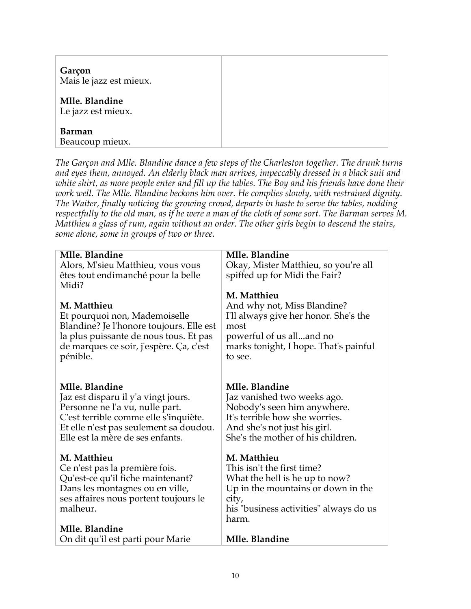| Garçon<br>Mais le jazz est mieux.    |  |
|--------------------------------------|--|
| Mlle. Blandine<br>Le jazz est mieux. |  |
| <b>Barman</b><br>Beaucoup mieux.     |  |

*The Garçon and Mlle. Blandine dance a few steps of the Charleston together. The drunk turns and eyes them, annoyed. An elderly black man arrives, impeccably dressed in a black suit and white shirt, as more people enter and fill up the tables. The Boy and his friends have done their work well. The Mlle. Blandine beckons him over. He complies slowly, with restrained dignity. The Waiter, finally noticing the growing crowd, departs in haste to serve the tables, nodding respectfully to the old man, as if he were a man of the cloth of some sort. The Barman serves M. Matthieu a glass of rum, again without an order. The other girls begin to descend the stairs, some alone, some in groups of two or three.*

| Mlle. Blandine                                                                                                                                                                                                  | Mlle. Blandine                                                                                                                                                                      |
|-----------------------------------------------------------------------------------------------------------------------------------------------------------------------------------------------------------------|-------------------------------------------------------------------------------------------------------------------------------------------------------------------------------------|
| Alors, M'sieu Matthieu, vous vous                                                                                                                                                                               | Okay, Mister Matthieu, so you're all                                                                                                                                                |
| êtes tout endimanché pour la belle<br>Midi?                                                                                                                                                                     | spiffed up for Midi the Fair?                                                                                                                                                       |
|                                                                                                                                                                                                                 | M. Matthieu                                                                                                                                                                         |
| M. Matthieu<br>Et pourquoi non, Mademoiselle<br>Blandine? Je l'honore toujours. Elle est<br>la plus puissante de nous tous. Et pas<br>de marques ce soir, j'espère. Ça, c'est<br>pénible.                       | And why not, Miss Blandine?<br>I'll always give her honor. She's the<br>most<br>powerful of us alland no<br>marks tonight, I hope. That's painful<br>to see.                        |
| Mlle. Blandine<br>Jaz est disparu il y'a vingt jours.<br>Personne ne l'a vu, nulle part.<br>C'est terrible comme elle s'inquiète.<br>Et elle n'est pas seulement sa doudou.<br>Elle est la mère de ses enfants. | Mlle. Blandine<br>Jaz vanished two weeks ago.<br>Nobody's seen him anywhere.<br>It's terrible how she worries.<br>And she's not just his girl.<br>She's the mother of his children. |
| M. Matthieu<br>Ce n'est pas la première fois.<br>Qu'est-ce qu'il fiche maintenant?<br>Dans les montagnes ou en ville,<br>ses affaires nous portent toujours le<br>malheur.                                      | M. Matthieu<br>This isn't the first time?<br>What the hell is he up to now?<br>Up in the mountains or down in the<br>city,<br>his "business activities" always do us<br>harm.       |
| Mlle. Blandine                                                                                                                                                                                                  |                                                                                                                                                                                     |
| On dit qu'il est parti pour Marie                                                                                                                                                                               | Mlle. Blandine                                                                                                                                                                      |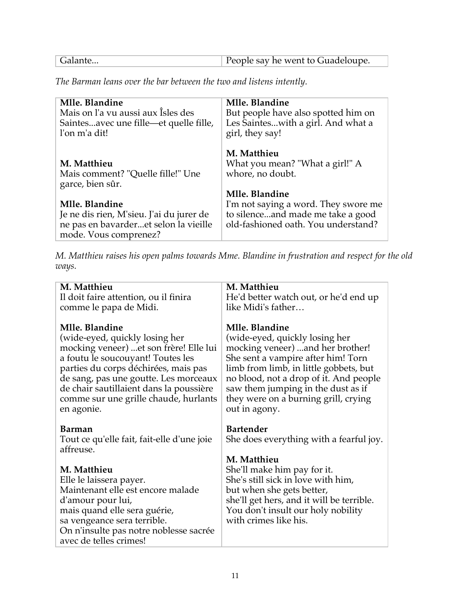| People say he went to Guadeloupe. |  |
|-----------------------------------|--|
|                                   |  |

*The Barman leans over the bar between the two and listens intently.*

| Mlle. Blandine<br>Mais on l'a vu aussi aux Îsles des<br>Saintesavec une fille—et quelle fille,<br>l'on m'a dit!              | Mlle. Blandine<br>But people have also spotted him on<br>Les Sainteswith a girl. And what a<br>girl, they say!   |
|------------------------------------------------------------------------------------------------------------------------------|------------------------------------------------------------------------------------------------------------------|
| M. Matthieu<br>Mais comment? "Quelle fille!" Une<br>garce, bien sûr.                                                         | M. Matthieu<br>What you mean? "What a girl!" A<br>whore, no doubt.<br>Mlle. Blandine                             |
| Mlle. Blandine<br>Je ne dis rien, M'sieu. J'ai du jurer de<br>ne pas en bavarderet selon la vieille<br>mode. Vous comprenez? | I'm not saying a word. They swore me<br>to silenceand made me take a good<br>old-fashioned oath. You understand? |

*M. Matthieu raises his open palms towards Mme. Blandine in frustration and respect for the old ways.*

| M. Matthieu                                                      | M. Matthieu                               |
|------------------------------------------------------------------|-------------------------------------------|
| Il doit faire attention, ou il finira                            | He'd better watch out, or he'd end up     |
| comme le papa de Midi.                                           | like Midi's father                        |
| Mlle. Blandine                                                   | Mlle. Blandine                            |
| (wide-eyed, quickly losing her                                   | (wide-eyed, quickly losing her            |
| mocking veneer) et son frère! Elle lui                           | mocking veneer)  and her brother!         |
| a foutu le soucouyant! Toutes les                                | She sent a vampire after him! Torn        |
| parties du corps déchirées, mais pas                             | limb from limb, in little gobbets, but    |
| de sang, pas une goutte. Les morceaux                            | no blood, not a drop of it. And people    |
| de chair sautillaient dans la poussière                          | saw them jumping in the dust as if        |
| comme sur une grille chaude, hurlants                            | they were on a burning grill, crying      |
| en agonie.                                                       | out in agony.                             |
|                                                                  |                                           |
| Barman                                                           | <b>Bartender</b>                          |
| Tout ce qu'elle fait, fait-elle d'une joie                       | She does everything with a fearful joy.   |
| affreuse.                                                        |                                           |
|                                                                  | M. Matthieu                               |
| <b>M. Matthieu</b>                                               | She'll make him pay for it.               |
| Elle le laissera payer.                                          | She's still sick in love with him,        |
| Maintenant elle est encore malade                                | but when she gets better,                 |
| d'amour pour lui,                                                | she'll get hers, and it will be terrible. |
| mais quand elle sera guérie,                                     | You don't insult our holy nobility        |
| sa vengeance sera terrible.                                      | with crimes like his.                     |
| On n'insulte pas notre noblesse sacrée<br>avec de telles crimes! |                                           |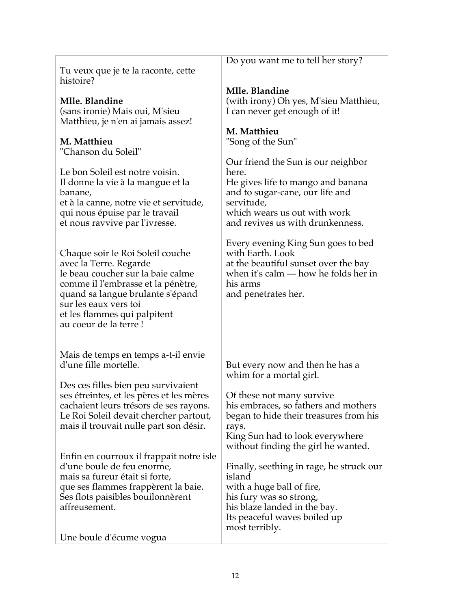|                                                              | Do you want me to tell her story?                                    |
|--------------------------------------------------------------|----------------------------------------------------------------------|
| Tu veux que je te la raconte, cette<br>histoire?             |                                                                      |
|                                                              | Mlle. Blandine                                                       |
| Mlle. Blandine                                               | (with irony) Oh yes, M'sieu Matthieu,                                |
| (sans ironie) Mais oui, M'sieu                               | I can never get enough of it!                                        |
| Matthieu, je n'en ai jamais assez!                           |                                                                      |
|                                                              | M. Matthieu                                                          |
| M. Matthieu                                                  | "Song of the Sun"                                                    |
| "Chanson du Soleil"                                          |                                                                      |
|                                                              | Our friend the Sun is our neighbor                                   |
| Le bon Soleil est notre voisin.                              | here.                                                                |
| Il donne la vie à la mangue et la<br>banane,                 | He gives life to mango and banana<br>and to sugar-cane, our life and |
| et à la canne, notre vie et servitude,                       | servitude,                                                           |
| qui nous épuise par le travail                               | which wears us out with work                                         |
| et nous ravvive par l'ivresse.                               | and revives us with drunkenness.                                     |
|                                                              |                                                                      |
|                                                              | Every evening King Sun goes to bed                                   |
| Chaque soir le Roi Soleil couche                             | with Earth. Look                                                     |
| avec la Terre. Regarde                                       | at the beautiful sunset over the bay                                 |
| le beau coucher sur la baie calme                            | when it's calm $-$ how he folds her in                               |
| comme il l'embrasse et la pénètre,                           | his arms                                                             |
| quand sa langue brulante s'épand                             | and penetrates her.                                                  |
| sur les eaux vers toi                                        |                                                                      |
| et les flammes qui palpitent<br>au coeur de la terre!        |                                                                      |
|                                                              |                                                                      |
|                                                              |                                                                      |
| Mais de temps en temps a-t-il envie                          |                                                                      |
| d'une fille mortelle.                                        | But every now and then he has a                                      |
|                                                              | whim for a mortal girl.                                              |
| Des ces filles bien peu survivaient                          |                                                                      |
| ses étreintes, et les pères et les mères                     | Of these not many survive                                            |
| cachaient leurs trésors de ses rayons.                       | his embraces, so fathers and mothers                                 |
| Le Roi Soleil devait chercher partout,                       | began to hide their treasures from his                               |
| mais il trouvait nulle part son désir.                       | rays.                                                                |
|                                                              | King Sun had to look everywhere                                      |
|                                                              | without finding the girl he wanted.                                  |
| Enfin en courroux il frappait notre isle                     |                                                                      |
| d'une boule de feu enorme,<br>mais sa fureur était si forte, | Finally, seething in rage, he struck our<br>island                   |
| que ses flammes frappèrent la baie.                          | with a huge ball of fire,                                            |
| Ses flots paisibles bouilonnèrent                            | his fury was so strong,                                              |
| affreusement.                                                | his blaze landed in the bay.                                         |
|                                                              | Its peaceful waves boiled up                                         |
|                                                              | most terribly.                                                       |
| Une boule d'écume vogua                                      |                                                                      |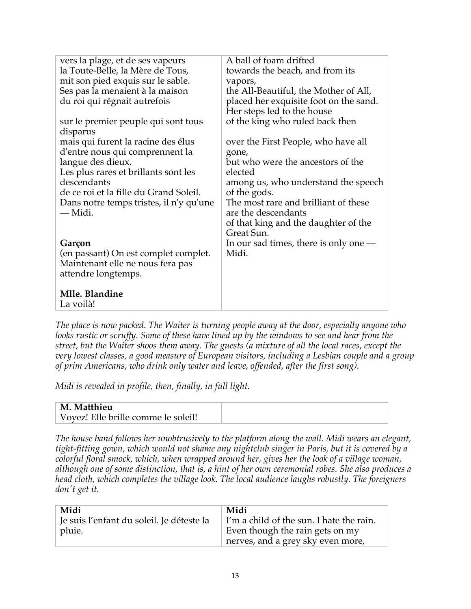| vers la plage, et de ses vapeurs        | A ball of foam drifted                  |
|-----------------------------------------|-----------------------------------------|
| la Toute-Belle, la Mère de Tous,        | towards the beach, and from its         |
| mit son pied exquis sur le sable.       | vapors,                                 |
| Ses pas la menaient à la maison         | the All-Beautiful, the Mother of All,   |
| du roi qui régnait autrefois            | placed her exquisite foot on the sand.  |
|                                         | Her steps led to the house              |
| sur le premier peuple qui sont tous     | of the king who ruled back then         |
| disparus                                |                                         |
| mais qui furent la racine des élus      | over the First People, who have all     |
| d'entre nous qui comprennent la         | gone,                                   |
| langue des dieux.                       | but who were the ancestors of the       |
| Les plus rares et brillants sont les    | elected                                 |
| descendants                             | among us, who understand the speech     |
| de ce roi et la fille du Grand Soleil.  | of the gods.                            |
| Dans notre temps tristes, il n'y qu'une | The most rare and brilliant of these    |
| — Midi.                                 | are the descendants                     |
|                                         | of that king and the daughter of the    |
|                                         | Great Sun.                              |
| Garçon                                  | In our sad times, there is only one $-$ |
| (en passant) On est complet complet.    | Midi.                                   |
| Maintenant elle ne nous fera pas        |                                         |
| attendre longtemps.                     |                                         |
| Mlle. Blandine                          |                                         |
| La voilà!                               |                                         |
|                                         |                                         |

*The place is now packed. The Waiter is turning people away at the door, especially anyone who looks rustic or scruffy. Some of these have lined up by the windows to see and hear from the street, but the Waiter shoos them away. The guests (a mixture of all the local races, except the very lowest classes, a good measure of European visitors, including a Lesbian couple and a group of prim Americans, who drink only water and leave, offended, after the first song).*

*Midi is revealed in profile, then, finally, in full light.*

| M. Matthieu                         |  |
|-------------------------------------|--|
| Voyez! Elle brille comme le soleil! |  |

*The house band follows her unobtrusively to the platform along the wall. Midi wears an elegant, tight-fitting gown, which would not shame any nightclub singer in Paris, but it is covered by a colorful floral smock, which, when wrapped around her, gives her the look of a village woman, although one of some distinction, that is, a hint of her own ceremonial robes. She also produces a head cloth, which completes the village look. The local audience laughs robustly. The foreigners don't get it.* 

| Midi                                      | Midi                                     |
|-------------------------------------------|------------------------------------------|
| Je suis l'enfant du soleil. Je déteste la | I'm a child of the sun. I hate the rain. |
| pluie.                                    | Even though the rain gets on my          |
|                                           | nerves, and a grey sky even more,        |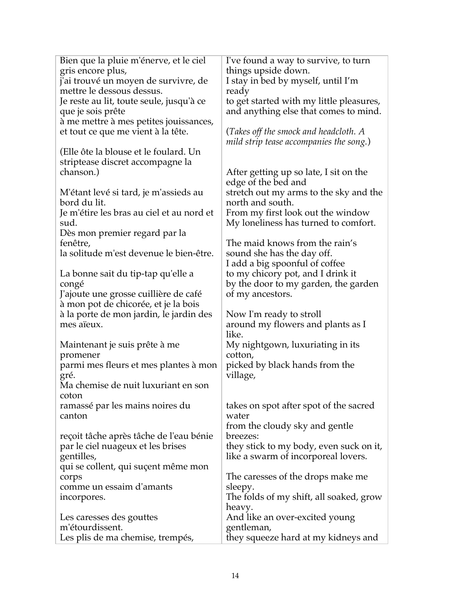| Bien que la pluie m'énerve, et le ciel                | I've found a way to survive, to turn                       |
|-------------------------------------------------------|------------------------------------------------------------|
| gris encore plus,                                     | things upside down.                                        |
| j'ai trouvé un moyen de survivre, de                  | I stay in bed by myself, until I'm                         |
| mettre le dessous dessus.                             | ready                                                      |
| Je reste au lit, toute seule, jusqu'à ce              | to get started with my little pleasures,                   |
| que je sois prête                                     | and anything else that comes to mind.                      |
| à me mettre à mes petites jouissances,                |                                                            |
| et tout ce que me vient à la tête.                    | (Takes off the smock and headcloth. A                      |
|                                                       | mild strip tease accompanies the song.)                    |
| (Elle ôte la blouse et le foulard. Un                 |                                                            |
| striptease discret accompagne la                      |                                                            |
| chanson.)                                             | After getting up so late, I sit on the                     |
|                                                       | edge of the bed and                                        |
|                                                       |                                                            |
| M'étant levé si tard, je m'assieds au<br>bord du lit. | stretch out my arms to the sky and the<br>north and south. |
|                                                       |                                                            |
| Je m'étire les bras au ciel et au nord et             | From my first look out the window                          |
| sud.                                                  | My loneliness has turned to comfort.                       |
| Dès mon premier regard par la                         |                                                            |
| fenêtre,                                              | The maid knows from the rain's                             |
| la solitude m'est devenue le bien-être.               | sound she has the day off.                                 |
|                                                       | I add a big spoonful of coffee                             |
| La bonne sait du tip-tap qu'elle a                    | to my chicory pot, and I drink it                          |
| congé                                                 | by the door to my garden, the garden                       |
| J'ajoute une grosse cuillière de café                 | of my ancestors.                                           |
| à mon pot de chicorée, et je la bois                  |                                                            |
| à la porte de mon jardin, le jardin des               | Now I'm ready to stroll                                    |
| mes aïeux.                                            | around my flowers and plants as I                          |
|                                                       | like.                                                      |
| Maintenant je suis prête à me                         | My nightgown, luxuriating in its                           |
| promener                                              | cotton,                                                    |
| parmi mes fleurs et mes plantes à mon                 | picked by black hands from the                             |
| gré.                                                  | village,                                                   |
| Ma chemise de nuit luxuriant en son                   |                                                            |
| coton                                                 |                                                            |
| ramassé par les mains noires du                       | takes on spot after spot of the sacred                     |
| canton                                                | water                                                      |
|                                                       | from the cloudy sky and gentle                             |
| reçoit tâche après tâche de l'eau bénie               | breezes:                                                   |
| par le ciel nuageux et les brises                     | they stick to my body, even suck on it,                    |
| gentilles,                                            | like a swarm of incorporeal lovers.                        |
| qui se collent, qui suçent même mon                   |                                                            |
| corps                                                 | The caresses of the drops make me                          |
| comme un essaim d'amants                              | sleepy.                                                    |
| incorpores.                                           | The folds of my shift, all soaked, grow                    |
|                                                       | heavy.                                                     |
| Les caresses des gouttes                              | And like an over-excited young                             |
| m'étourdissent.                                       | gentleman,                                                 |
| Les plis de ma chemise, trempés,                      | they squeeze hard at my kidneys and                        |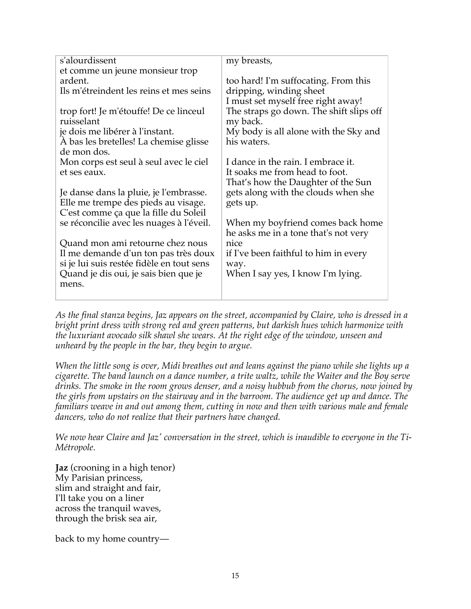| s'alourdissent                            | my breasts,                             |
|-------------------------------------------|-----------------------------------------|
| et comme un jeune monsieur trop           |                                         |
| ardent.                                   | too hard! I'm suffocating. From this    |
| Ils m'étreindent les reins et mes seins   | dripping, winding sheet                 |
|                                           | I must set myself free right away!      |
| trop fort! Je m'étouffe! De ce linceul    | The straps go down. The shift slips off |
| ruisselant                                | my back.                                |
| je dois me libérer à l'instant.           | My body is all alone with the Sky and   |
| À bas les bretelles! La chemise glisse    | his waters.                             |
| de mon dos.                               |                                         |
| Mon corps est seul à seul avec le ciel    | I dance in the rain. I embrace it.      |
| et ses eaux.                              | It soaks me from head to foot.          |
|                                           | That's how the Daughter of the Sun      |
| Je danse dans la pluie, je l'embrasse.    | gets along with the clouds when she     |
| Elle me trempe des pieds au visage.       | gets up.                                |
| C'est comme ça que la fille du Soleil     |                                         |
| se réconcilie avec les nuages à l'éveil.  | When my boyfriend comes back home       |
|                                           | he asks me in a tone that's not very    |
| Quand mon ami retourne chez nous          | nice                                    |
| Il me demande d'un ton pas très doux      | if I've been faithful to him in every   |
| si je lui suis restée fidèle en tout sens | way.                                    |
| Quand je dis oui, je sais bien que je     | When I say yes, I know I'm lying.       |
| mens.                                     |                                         |
|                                           |                                         |
|                                           |                                         |

*As the final stanza begins, Jaz appears on the street, accompanied by Claire, who is dressed in a bright print dress with strong red and green patterns, but darkish hues which harmonize with the luxuriant avocado silk shawl she wears. At the right edge of the window, unseen and unheard by the people in the bar, they begin to argue.* 

*When the little song is over, Midi breathes out and leans against the piano while she lights up a cigarette. The band launch on a dance number, a trite waltz, while the Waiter and the Boy serve drinks. The smoke in the room grows denser, and a noisy hubbub from the chorus, now joined by the girls from upstairs on the stairway and in the barroom. The audience get up and dance. The familiars weave in and out among them, cutting in now and then with various male and female dancers, who do not realize that their partners have changed.*

*We now hear Claire and Jaz' conversation in the street, which is inaudible to everyone in the Ti-Métropole.*

**Jaz** (crooning in a high tenor) My Parisian princess, slim and straight and fair, I'll take you on a liner across the tranquil waves, through the brisk sea air,

back to my home country—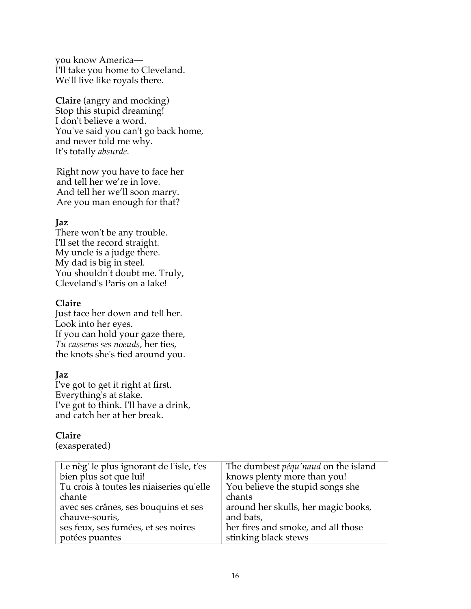you know America— I'll take you home to Cleveland. We'll live like royals there.

**Claire** (angry and mocking) Stop this stupid dreaming! I don't believe a word. You've said you can't go back home, and never told me why. It's totally *absurde.*

Right now you have to face her and tell her we're in love. And tell her we'll soon marry. Are you man enough for that?

## **Jaz**

There won't be any trouble. I'll set the record straight. My uncle is a judge there. My dad is big in steel. You shouldn't doubt me. Truly, Cleveland's Paris on a lake!

#### **Claire**

Just face her down and tell her. Look into her eyes. If you can hold your gaze there, *Tu casseras ses noeuds,* her ties, the knots she's tied around you.

## **Jaz**

I've got to get it right at first. Everything's at stake. I've got to think. I'll have a drink, and catch her at her break.

## **Claire**

(exasperated)

| Le nèg' le plus ignorant de l'isle, t'es | The dumbest <i>péqu'naud</i> on the island |
|------------------------------------------|--------------------------------------------|
| bien plus sot que lui!                   | knows plenty more than you!                |
| Tu crois à toutes les niaiseries qu'elle | You believe the stupid songs she           |
| chante                                   | chants                                     |
| avec ses crânes, ses bouquins et ses     | around her skulls, her magic books,        |
| chauve-souris,                           | and bats,                                  |
| ses feux, ses fumées, et ses noires      | her fires and smoke, and all those         |
| potées puantes                           | stinking black stews                       |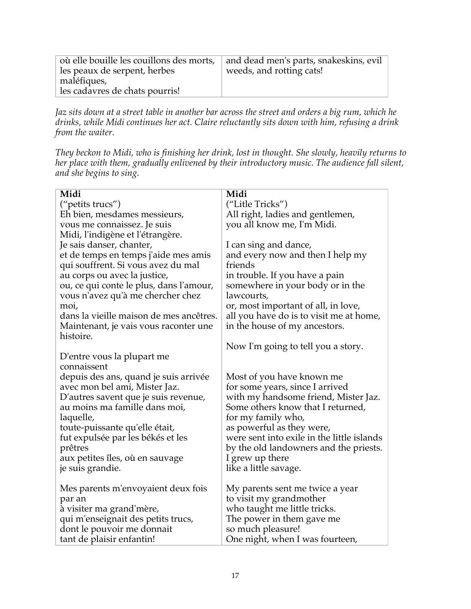| où elle bouille les couillons des morts,<br>les peaux de serpent, herbes<br>maléfiques,<br>les cadavres de chats pourris! | and dead men's parts, snakeskins, evil<br>weeds, and rotting cats! |
|---------------------------------------------------------------------------------------------------------------------------|--------------------------------------------------------------------|
|---------------------------------------------------------------------------------------------------------------------------|--------------------------------------------------------------------|

*Jaz sits down at a street table in another bar across the street and orders a big rum, which he drinks, while Midi continues her act. Claire reluctantly sits down with him, refusing a drink from the waiter.*

*They beckon to Midi, who is finishing her drink, lost in thought. She slowly, heavily returns to her place with them, gradually enlivened by their introductory music. The audience fall silent, and she begins to sing.*

| Midi                                    | Midi                                       |
|-----------------------------------------|--------------------------------------------|
| ("petits trucs")                        | ("Litle Tricks")                           |
| Eh bien, mesdames messieurs,            | All right, ladies and gentlemen,           |
| vous me connaissez. Je suis             | you all know me, I'm Midi.                 |
| Midi, l'indigène et l'étrangère.        |                                            |
| Je sais danser, chanter,                | I can sing and dance,                      |
| et de temps en temps j'aide mes amis    | and every now and then I help my           |
| qui souffrent. Si vous avez du mal      | friends                                    |
| au corps ou avec la justice,            | in trouble. If you have a pain             |
| ou, ce qui conte le plus, dans l'amour, | somewhere in your body or in the           |
| vous n'avez qu'à me chercher chez       | lawcourts,                                 |
| moi,                                    | or, most important of all, in love,        |
| dans la vieille maison de mes ancêtres. | all you have do is to visit me at home,    |
| Maintenant, je vais vous raconter une   | in the house of my ancestors.              |
| histoire.                               |                                            |
|                                         | Now I'm going to tell you a story.         |
| D'entre vous la plupart me              |                                            |
| connaissent                             |                                            |
| depuis des ans, quand je suis arrivée   | Most of you have known me                  |
| avec mon bel ami, Mister Jaz.           | for some years, since I arrived            |
| D'autres savent que je suis revenue,    | with my handsome friend, Mister Jaz.       |
| au moins ma famille dans moi,           | Some others know that I returned,          |
| laquelle,                               | for my family who,                         |
| toute-puissante qu'elle était,          | as powerful as they were,                  |
| fut expulsée par les békés et les       | were sent into exile in the little islands |
| prêtres                                 | by the old landowners and the priests.     |
| aux petites îles, où en sauvage         | I grew up there                            |
| je suis grandie.                        | like a little savage.                      |
| Mes parents m'envoyaient deux fois      | My parents sent me twice a year            |
| par an                                  | to visit my grandmother                    |
| à visiter ma grand'mère,                | who taught me little tricks.               |
| qui m'enseignait des petits trucs,      | The power in them gave me                  |
| dont le pouvoir me donnait              | so much pleasure!                          |
| tant de plaisir enfantin!               | One night, when I was fourteen,            |
|                                         |                                            |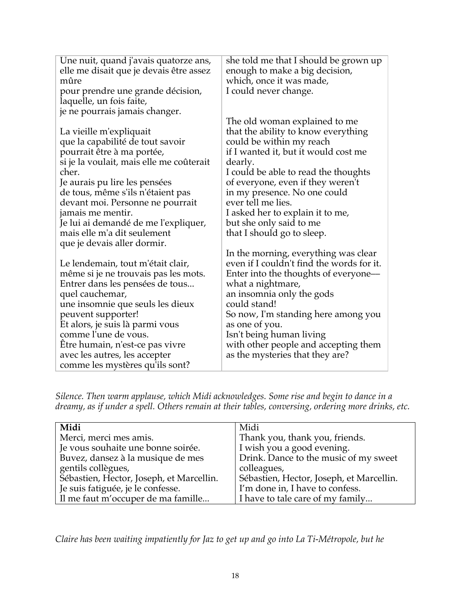| Une nuit, quand j'avais quatorze ans,<br>elle me disait que je devais être assez<br>mûre                                                                                                                                                                                                                                                                                                   | she told me that I should be grown up<br>enough to make a big decision,<br>which, once it was made,                                                                                                                                                                                                                                                                                 |
|--------------------------------------------------------------------------------------------------------------------------------------------------------------------------------------------------------------------------------------------------------------------------------------------------------------------------------------------------------------------------------------------|-------------------------------------------------------------------------------------------------------------------------------------------------------------------------------------------------------------------------------------------------------------------------------------------------------------------------------------------------------------------------------------|
| pour prendre une grande décision,<br>laquelle, un fois faite,                                                                                                                                                                                                                                                                                                                              | I could never change.                                                                                                                                                                                                                                                                                                                                                               |
| je ne pourrais jamais changer.                                                                                                                                                                                                                                                                                                                                                             |                                                                                                                                                                                                                                                                                                                                                                                     |
| La vieille m'expliquait<br>que la capabilité de tout savoir<br>pourrait être à ma portée,<br>si je la voulait, mais elle me coûterait<br>cher.<br>Je aurais pu lire les pensées<br>de tous, même s'ils n'étaient pas<br>devant moi. Personne ne pourrait<br>jamais me mentir.<br>Je lui ai demandé de me l'expliquer,<br>mais elle m'a dit seulement                                       | The old woman explained to me<br>that the ability to know everything<br>could be within my reach<br>if I wanted it, but it would cost me<br>dearly.<br>I could be able to read the thoughts<br>of everyone, even if they weren't<br>in my presence. No one could<br>ever tell me lies.<br>I asked her to explain it to me,<br>but she only said to me<br>that I should go to sleep. |
| que je devais aller dormir.<br>Le lendemain, tout m'était clair,<br>même si je ne trouvais pas les mots.<br>Entrer dans les pensées de tous<br>quel cauchemar,<br>une insomnie que seuls les dieux<br>peuvent supporter!<br>Et alors, je suis là parmi vous<br>comme l'une de vous.<br>Être humain, n'est-ce pas vivre<br>avec les autres, les accepter<br>comme les mystères qu'ils sont? | In the morning, everything was clear<br>even if I couldn't find the words for it.<br>Enter into the thoughts of everyone—<br>what a nightmare,<br>an insomnia only the gods<br>could stand!<br>So now, I'm standing here among you<br>as one of you.<br>Isn't being human living<br>with other people and accepting them<br>as the mysteries that they are?                         |

*Silence. Then warm applause, which Midi acknowledges. Some rise and begin to dance in a dreamy, as if under a spell. Others remain at their tables, conversing, ordering more drinks, etc.*

| Midi                                     | Midi                                     |
|------------------------------------------|------------------------------------------|
| Merci, merci mes amis.                   | Thank you, thank you, friends.           |
| Je vous souhaite une bonne soirée.       | I wish you a good evening.               |
| Buvez, dansez à la musique de mes        | Drink. Dance to the music of my sweet    |
| gentils collègues,                       | colleagues,                              |
| Šébastien, Hector, Joseph, et Marcellin. | Sébastien, Hector, Joseph, et Marcellin. |
| Je suis fatiguée, je le confesse.        | I'm done in, I have to confess.          |
| Il me faut m'occuper de ma famille       | I have to tale care of my family         |

*Claire has been waiting impatiently for Jaz to get up and go into La Ti-Métropole, but he*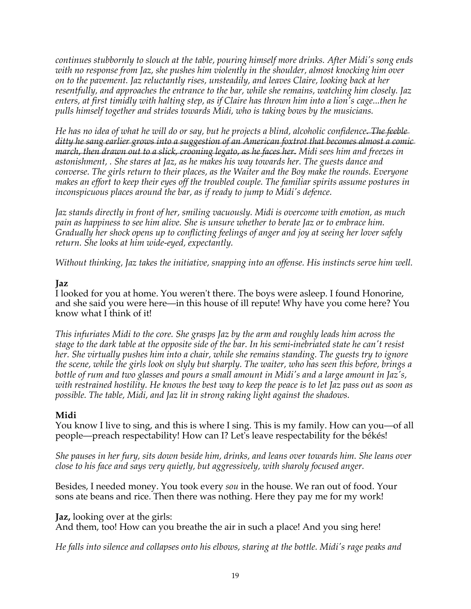*continues stubbornly to slouch at the table, pouring himself more drinks. After Midi's song ends with no response from Jaz, she pushes him violently in the shoulder, almost knocking him over on to the pavement. Jaz reluctantly rises, unsteadily, and leaves Claire, looking back at her resentfully, and approaches the entrance to the bar, while she remains, watching him closely. Jaz enters, at first timidly with halting step, as if Claire has thrown him into a lion's cage...then he pulls himself together and strides towards Midi, who is taking bows by the musicians.*

*He has no idea of what he will do or say, but he projects a blind, alcoholic confidence. The feeble ditty he sang earlier grows into a suggestion of an American foxtrot that becomes almost a comic march, then drawn out to a slick, crooning legato, as he faces her. Midi sees him and freezes in astonishment, . She stares at Jaz, as he makes his way towards her. The guests dance and converse. The girls return to their places, as the Waiter and the Boy make the rounds. Everyone makes an effort to keep their eyes off the troubled couple. The familiar spirits assume postures in inconspicuous places around the bar, as if ready to jump to Midi's defence.*

*Jaz stands directly in front of her, smiling vacuously. Midi is overcome with emotion, as much pain as happiness to see him alive. She is unsure whether to berate Jaz or to embrace him. Gradually her shock opens up to conflicting feelings of anger and joy at seeing her lover safely return. She looks at him wide-eyed, expectantly.*

*Without thinking, Jaz takes the initiative, snapping into an offense. His instincts serve him well.*

## **Jaz**

I looked for you at home. You weren't there. The boys were asleep. I found Honorine, and she said you were here—in this house of ill repute! Why have you come here? You know what I think of it!

*This infuriates Midi to the core. She grasps Jaz by the arm and roughly leads him across the stage to the dark table at the opposite side of the bar. In his semi-inebriated state he can't resist her. She virtually pushes him into a chair, while she remains standing. The guests try to ignore the scene, while the girls look on slyly but sharply. The waiter, who has seen this before, brings a bottle of rum and two glasses and pours a small amount in Midi's and a large amount in Jaz's, with restrained hostility. He knows the best way to keep the peace is to let Jaz pass out as soon as possible. The table, Midi, and Jaz lit in strong raking light against the shadows.*

#### **Midi**

You know I live to sing, and this is where I sing. This is my family. How can you—of all people—preach respectability! How can I? Let's leave respectability for the békés!

*She pauses in her fury, sits down beside him, drinks, and leans over towards him. She leans over close to his face and says very quietly, but aggressively, with sharoly focused anger.*

Besides, I needed money. You took every *sou* in the house. We ran out of food. Your sons ate beans and rice. Then there was nothing. Here they pay me for my work!

**Jaz,** looking over at the girls:

And them, too! How can you breathe the air in such a place! And you sing here!

*He falls into silence and collapses onto his elbows, staring at the bottle. Midi's rage peaks and*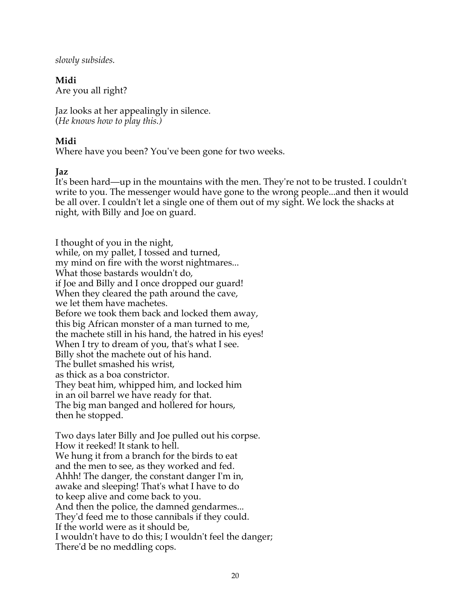*slowly subsides.*

**Midi** Are you all right?

Jaz looks at her appealingly in silence. (*He knows how to play this.)*

## **Midi**

Where have you been? You've been gone for two weeks.

## **Jaz**

It's been hard—up in the mountains with the men. They're not to be trusted. I couldn't write to you. The messenger would have gone to the wrong people...and then it would be all over. I couldn't let a single one of them out of my sight. We lock the shacks at night, with Billy and Joe on guard.

I thought of you in the night, while, on my pallet, I tossed and turned, my mind on fire with the worst nightmares... What those bastards wouldn't do, if Joe and Billy and I once dropped our guard! When they cleared the path around the cave, we let them have machetes. Before we took them back and locked them away, this big African monster of a man turned to me, the machete still in his hand, the hatred in his eyes! When I try to dream of you, that's what I see. Billy shot the machete out of his hand. The bullet smashed his wrist, as thick as a boa constrictor. They beat him, whipped him, and locked him in an oil barrel we have ready for that. The big man banged and hollered for hours, then he stopped.

Two days later Billy and Joe pulled out his corpse. How it reeked! It stank to hell. We hung it from a branch for the birds to eat and the men to see, as they worked and fed. Ahhh! The danger, the constant danger I'm in, awake and sleeping! That's what I have to do to keep alive and come back to you. And then the police, the damned gendarmes... They'd feed me to those cannibals if they could. If the world were as it should be, I wouldn't have to do this; I wouldn't feel the danger; There'd be no meddling cops.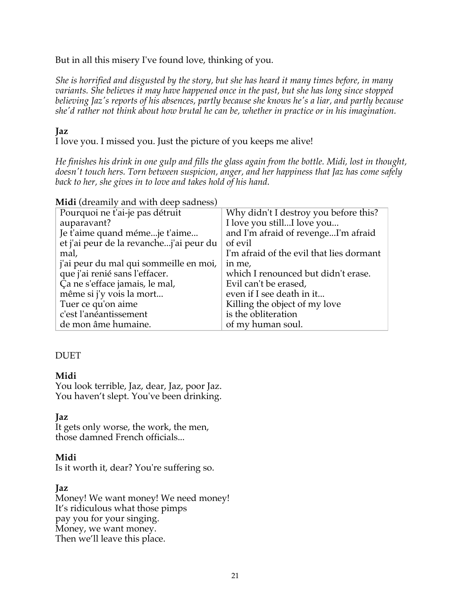But in all this misery I've found love, thinking of you.

*She is horrified and disgusted by the story, but she has heard it many times before, in many variants. She believes it may have happened once in the past, but she has long since stopped believing Jaz's reports of his absences, partly because she knows he's a liar, and partly because she'd rather not think about how brutal he can be, whether in practice or in his imagination.*

#### **Jaz**

I love you. I missed you. Just the picture of you keeps me alive!

*He finishes his drink in one gulp and fills the glass again from the bottle. Midi, lost in thought, doesn't touch hers. Torn between suspicion, anger, and her happiness that Jaz has come safely back to her, she gives in to love and takes hold of his hand.*

| $m_{\rm H}$ (dicalinity and with accept and $\sigma$ |                                          |
|------------------------------------------------------|------------------------------------------|
| Pourquoi ne t'ai-je pas détruit                      | Why didn't I destroy you before this?    |
| auparavant?                                          | I love you stillI love you               |
| Je t'aime quand mémeje t'aime                        | and I'm afraid of revengeI'm afraid      |
| et j'ai peur de la revanchej'ai peur du              | of evil                                  |
| mal,                                                 | I'm afraid of the evil that lies dormant |
| j'ai peur du mal qui sommeille en moi,               | in me,                                   |
| que j'ai renié sans l'effacer.                       | which I renounced but didn't erase.      |
| Ça ne s'efface jamais, le mal,                       | Evil can't be erased,                    |
| même si j'y vois la mort                             | even if I see death in it                |
| Tuer ce qu'on aime                                   | Killing the object of my love            |
| c'est l'anéantissement                               | is the obliteration                      |
| de mon âme humaine.                                  | of my human soul.                        |

**Midi** (dreamily and with deep sadness)

## DUET

## **Midi**

You look terrible, Jaz, dear, Jaz, poor Jaz. You haven't slept. You've been drinking.

#### **Jaz**

It gets only worse, the work, the men, those damned French officials...

#### **Midi**

Is it worth it, dear? You're suffering so.

#### **Jaz**

Money! We want money! We need money! It's ridiculous what those pimps pay you for your singing. Money, we want money. Then we'll leave this place.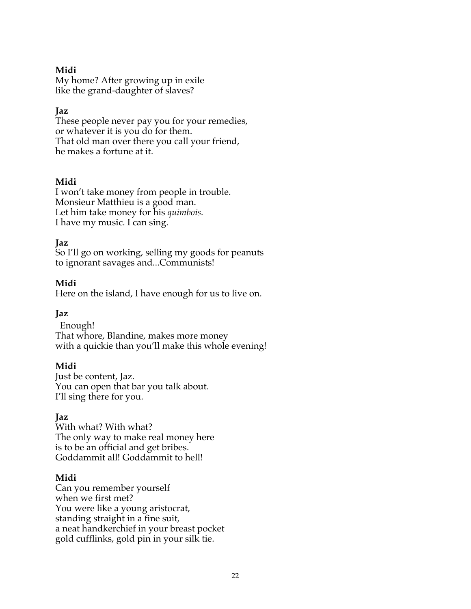## **Midi**

My home? After growing up in exile like the grand-daughter of slaves?

## **Jaz**

These people never pay you for your remedies, or whatever it is you do for them. That old man over there you call your friend, he makes a fortune at it.

## **Midi**

I won't take money from people in trouble. Monsieur Matthieu is a good man. Let him take money for his *quimbois.* I have my music. I can sing.

## **Jaz**

So I'll go on working, selling my goods for peanuts to ignorant savages and...Communists!

## **Midi**

Here on the island, I have enough for us to live on.

## **Jaz**

Enough! That whore, Blandine, makes more money with a quickie than you'll make this whole evening!

## **Midi**

Just be content, Jaz. You can open that bar you talk about. I'll sing there for you.

## **Jaz**

With what? With what? The only way to make real money here is to be an official and get bribes. Goddammit all! Goddammit to hell!

## **Midi**

Can you remember yourself when we first met? You were like a young aristocrat, standing straight in a fine suit, a neat handkerchief in your breast pocket gold cufflinks, gold pin in your silk tie.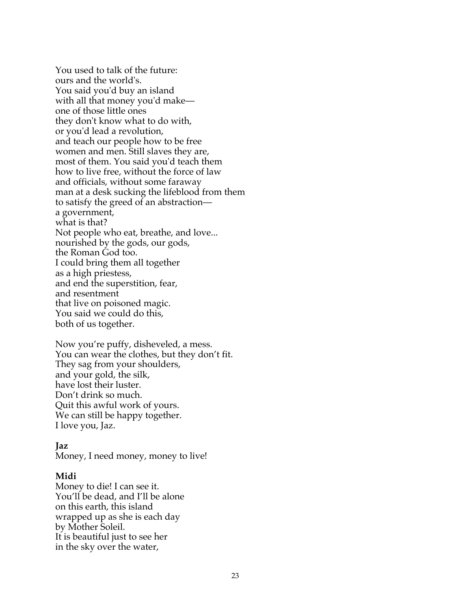You used to talk of the future: ours and the world's. You said you'd buy an island with all that money you'd make one of those little ones they don't know what to do with, or you'd lead a revolution, and teach our people how to be free women and men. Still slaves they are, most of them. You said you'd teach them how to live free, without the force of law and officials, without some faraway man at a desk sucking the lifeblood from them to satisfy the greed of an abstraction a government, what is that? Not people who eat, breathe, and love... nourished by the gods, our gods, the Roman God too. I could bring them all together as a high priestess, and end the superstition, fear, and resentment that live on poisoned magic. You said we could do this, both of us together.

Now you're puffy, disheveled, a mess. You can wear the clothes, but they don't fit. They sag from your shoulders, and your gold, the silk, have lost their luster. Don't drink so much. Quit this awful work of yours. We can still be happy together. I love you, Jaz.

#### **Jaz**

Money, I need money, money to live!

#### **Midi**

Money to die! I can see it. You'll be dead, and I'll be alone on this earth, this island wrapped up as she is each day by Mother Soleil. It is beautiful just to see her in the sky over the water,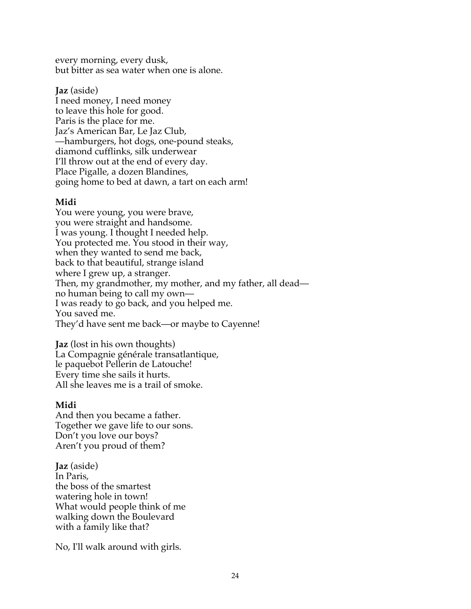every morning, every dusk, but bitter as sea water when one is alone.

## **Jaz** (aside)

I need money, I need money to leave this hole for good. Paris is the place for me. Jaz's American Bar, Le Jaz Club, —hamburgers, hot dogs, one-pound steaks, diamond cufflinks, silk underwear I'll throw out at the end of every day. Place Pigalle, a dozen Blandines, going home to bed at dawn, a tart on each arm!

## **Midi**

You were young, you were brave, you were straight and handsome. I was young. I thought I needed help. You protected me. You stood in their way, when they wanted to send me back, back to that beautiful, strange island where I grew up, a stranger. Then, my grandmother, my mother, and my father, all dead no human being to call my own— I was ready to go back, and you helped me. You saved me. They'd have sent me back—or maybe to Cayenne!

**Jaz** (lost in his own thoughts) La Compagnie générale transatlantique, le paquebot Pellerin de Latouche! Every time she sails it hurts. All she leaves me is a trail of smoke.

## **Midi**

And then you became a father. Together we gave life to our sons. Don't you love our boys? Aren't you proud of them?

**Jaz** (aside) In Paris, the boss of the smartest watering hole in town! What would people think of me walking down the Boulevard with a family like that?

No, I'll walk around with girls.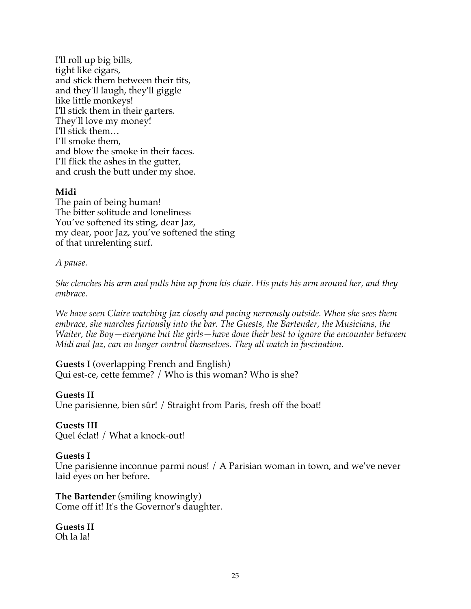I'll roll up big bills, tight like cigars, and stick them between their tits*,* and they'll laugh, they'll giggle like little monkeys! I'll stick them in their garters. They'll love my money! I'll stick them… I'll smoke them, and blow the smoke in their faces. I'll flick the ashes in the gutter, and crush the butt under my shoe.

#### **Midi**

The pain of being human! The bitter solitude and loneliness You've softened its sting, dear Jaz, my dear, poor Jaz, you've softened the sting of that unrelenting surf.

#### *A pause.*

*She clenches his arm and pulls him up from his chair. His puts his arm around her, and they embrace.*

*We have seen Claire watching Jaz closely and pacing nervously outside. When she sees them embrace, she marches furiously into the bar. The Guests, the Bartender, the Musicians, the Waiter, the Boy—everyone but the girls—have done their best to ignore the encounter between Midi and Jaz, can no longer control themselves. They all watch in fascination.*

#### **Guests I** (overlapping French and English) Qui est-ce, cette femme? / Who is this woman? Who is she?

#### **Guests II**

Une parisienne, bien sûr! / Straight from Paris, fresh off the boat!

#### **Guests III**

Quel éclat! / What a knock-out!

#### **Guests I**

Une parisienne inconnue parmi nous! / A Parisian woman in town, and we've never laid eyes on her before.

#### **The Bartender** (smiling knowingly) Come off it! It's the Governor's daughter.

**Guests II** Oh la la!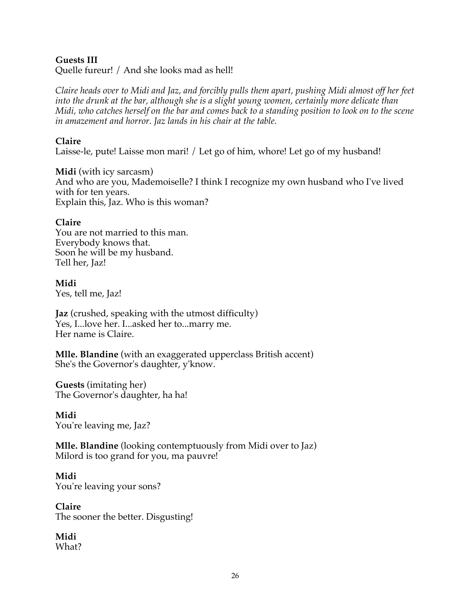## **Guests III**

Quelle fureur! / And she looks mad as hell!

*Claire heads over to Midi and Jaz, and forcibly pulls them apart, pushing Midi almost off her feet into the drunk at the bar, although she is a slight young women, certainly more delicate than Midi, who catches herself on the bar and comes back to a standing position to look on to the scene in amazement and horror. Jaz lands in his chair at the table.*

## **Claire**

Laisse-le, pute! Laisse mon mari! / Let go of him, whore! Let go of my husband!

**Midi** (with icy sarcasm) And who are you, Mademoiselle? I think I recognize my own husband who I've lived with for ten years. Explain this, Jaz. Who is this woman?

#### **Claire**

You are not married to this man. Everybody knows that. Soon he will be my husband. Tell her, Jaz!

**Midi** Yes, tell me, Jaz!

**Jaz** (crushed, speaking with the utmost difficulty) Yes, I...love her. I...asked her to...marry me. Her name is Claire.

**Mlle. Blandine** (with an exaggerated upperclass British accent) She's the Governor's daughter, y'know.

**Guests** (imitating her) The Governor's daughter, ha ha!

**Midi** You're leaving me, Jaz?

**Mlle. Blandine** (looking contemptuously from Midi over to Jaz) Milord is too grand for you, ma pauvre!

**Midi** You're leaving your sons?

**Claire** The sooner the better. Disgusting!

**Midi** What?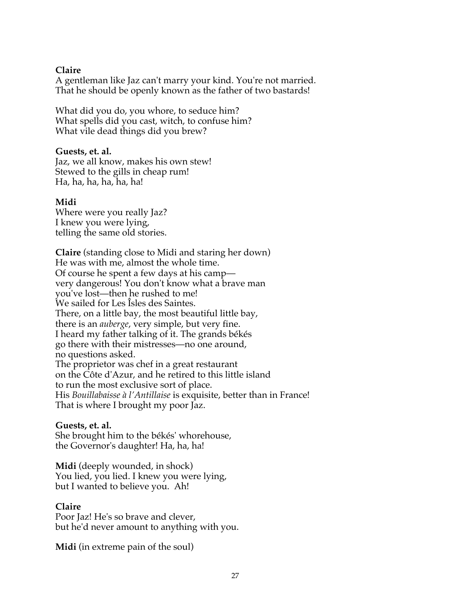#### **Claire**

A gentleman like Jaz can't marry your kind. You're not married. That he should be openly known as the father of two bastards!

What did you do, you whore, to seduce him? What spells did you cast, witch, to confuse him? What vile dead things did you brew?

#### **Guests, et. al.**

Jaz, we all know, makes his own stew! Stewed to the gills in cheap rum! Ha, ha, ha, ha, ha, ha!

#### **Midi**

Where were you really Jaz? I knew you were lying, telling the same old stories.

**Claire** (standing close to Midi and staring her down) He was with me, almost the whole time. Of course he spent a few days at his camp very dangerous! You don't know what a brave man you've lost—then he rushed to me! We sailed for Les Îsles des Saintes. There, on a little bay, the most beautiful little bay, there is an *auberge*, very simple, but very fine. I heard my father talking of it. The grands békés go there with their mistresses—no one around, no questions asked. The proprietor was chef in a great restaurant on the Côte d'Azur, and he retired to this little island to run the most exclusive sort of place. His *Bouillabaisse à l'Antillaise* is exquisite, better than in France! That is where I brought my poor Jaz.

#### **Guests, et. al.**

She brought him to the békés' whorehouse, the Governor's daughter! Ha, ha, ha!

**Midi** (deeply wounded, in shock) You lied, you lied. I knew you were lying, but I wanted to believe you. Ah!

#### **Claire**

Poor Jaz! He's so brave and clever, but he'd never amount to anything with you.

**Midi** (in extreme pain of the soul)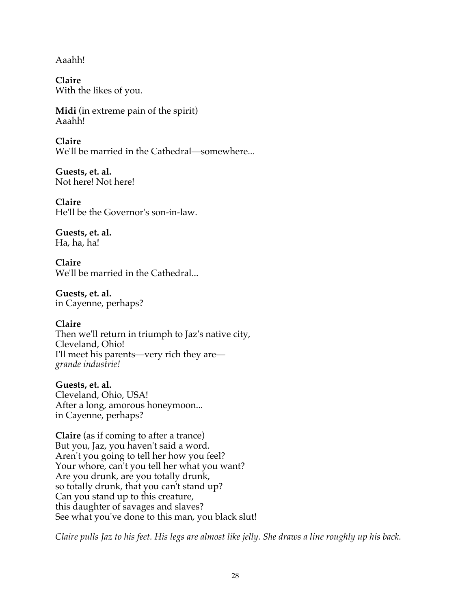Aaahh!

**Claire** With the likes of you.

**Midi** (in extreme pain of the spirit) Aaahh!

**Claire** We'll be married in the Cathedral—somewhere...

**Guests, et. al.** Not here! Not here!

**Claire** He'll be the Governor's son-in-law.

**Guests, et. al.** Ha, ha, ha!

**Claire** We'll be married in the Cathedral...

**Guests, et. al.** in Cayenne, perhaps?

**Claire** Then we'll return in triumph to Jaz's native city, Cleveland, Ohio! I'll meet his parents—very rich they are *grande industrie!*

**Guests, et. al.** Cleveland, Ohio, USA! After a long, amorous honeymoon... in Cayenne, perhaps?

**Claire** (as if coming to after a trance) But you, Jaz, you haven't said a word. Aren't you going to tell her how you feel? Your whore, can't you tell her what you want? Are you drunk, are you totally drunk, so totally drunk, that you can't stand up? Can you stand up to this creature, this daughter of savages and slaves? See what you've done to this man, you black slut!

*Claire pulls Jaz to his feet. His legs are almost like jelly. She draws a line roughly up his back.*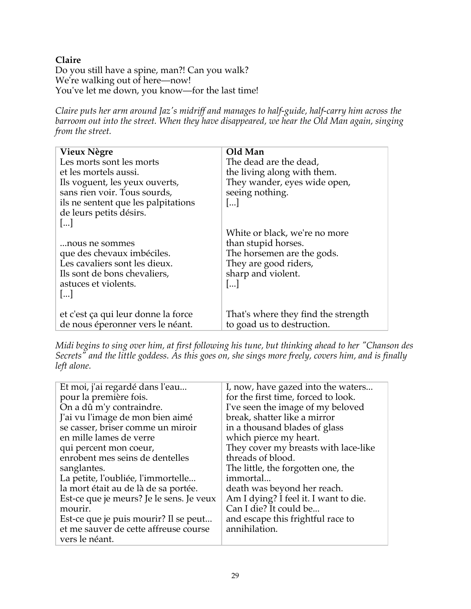## **Claire**

Do you still have a spine, man?! Can you walk? We're walking out of here—now! You've let me down, you know—for the last time!

*Claire puts her arm around Jaz's midriff and manages to half-guide, half-carry him across the barroom out into the street. When they have disappeared, we hear the Old Man again, singing from the street.*

| Vieux Nègre                         | Old Man                             |
|-------------------------------------|-------------------------------------|
| Les morts sont les morts            | The dead are the dead,              |
| et les mortels aussi.               | the living along with them.         |
| Ils voguent, les yeux ouverts,      | They wander, eyes wide open,        |
| sans rien voir. Tous sourds,        | seeing nothing.                     |
| ils ne sentent que les palpitations | $\left   \right $                   |
| de leurs petits désirs.             |                                     |
| $\left[\dots\right]$                |                                     |
|                                     | White or black, we're no more       |
| nous ne sommes                      | than stupid horses.                 |
| que des chevaux imbéciles.          | The horsemen are the gods.          |
| Les cavaliers sont les dieux.       | They are good riders,               |
| Ils sont de bons chevaliers,        | sharp and violent.                  |
| astuces et violents.                | $\left[\ldots\right]$               |
| $\left   \right $                   |                                     |
|                                     |                                     |
| et c'est ça qui leur donne la force | That's where they find the strength |
| de nous éperonner vers le néant.    | to goad us to destruction.          |
|                                     |                                     |

*Midi begins to sing over him, at first following his tune, but thinking ahead to her "Chanson des Secrets" and the little goddess. As this goes on, she sings more freely, covers him, and is finally left alone.*

| Et moi, j'ai regardé dans l'eau          | I, now, have gazed into the waters    |
|------------------------------------------|---------------------------------------|
| pour la première fois.                   | for the first time, forced to look.   |
| On a dû m'y contraindre.                 | I've seen the image of my beloved     |
| J'ai vu l'image de mon bien aimé         | break, shatter like a mirror          |
| se casser, briser comme un miroir        | in a thousand blades of glass         |
| en mille lames de verre                  | which pierce my heart.                |
| qui percent mon coeur,                   | They cover my breasts with lace-like  |
| enrobent mes seins de dentelles          | threads of blood.                     |
| sanglantes.                              | The little, the forgotten one, the    |
| La petite, l'oubliée, l'immortelle       | immortal                              |
| la mort était au de là de sa portée.     | death was beyond her reach.           |
| Est-ce que je meurs? Je le sens. Je veux | Am I dying? I feel it. I want to die. |
| mourir.                                  | Can I die? It could be                |
| Est-ce que je puis mourir? Il se peut    | and escape this frightful race to     |
| et me sauver de cette affreuse course    | annihilation.                         |
| vers le néant.                           |                                       |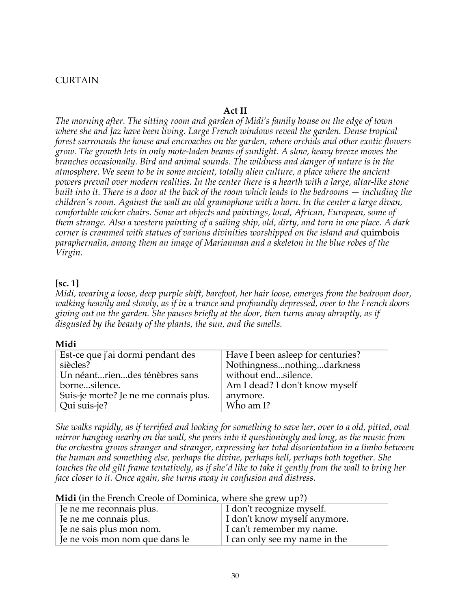#### **CURTAIN**

## **Act II**

*The morning after. The sitting room and garden of Midi's family house on the edge of town where she and Jaz have been living. Large French windows reveal the garden. Dense tropical forest surrounds the house and encroaches on the garden, where orchids and other exotic flowers grow. The growth lets in only mote-laden beams of sunlight. A slow, heavy breeze moves the branches occasionally. Bird and animal sounds. The wildness and danger of nature is in the atmosphere. We seem to be in some ancient, totally alien culture, a place where the ancient powers prevail over modern realities. In the center there is a hearth with a large, altar-like stone built into it. There is a door at the back of the room which leads to the bedrooms — including the children's room. Against the wall an old gramophone with a horn. In the center a large divan, comfortable wicker chairs. Some art objects and paintings, local, African, European, some of them strange. Also a western painting of a sailing ship, old, dirty, and torn in one place. A dark corner is crammed with statues of various divinities worshipped on the island and* quimbois *paraphernalia, among them an image of Marianman and a skeleton in the blue robes of the Virgin.* 

#### **[sc. 1]**

*Midi, wearing a loose, deep purple shift, barefoot, her hair loose, emerges from the bedroom door, walking heavily and slowly, as if in a trance and profoundly depressed, over to the French doors giving out on the garden. She pauses briefly at the door, then turns away abruptly, as if disgusted by the beauty of the plants, the sun, and the smells.*

#### **Midi**

| Est-ce que j'ai dormi pendant des     | Have I been as leep for centuries? |
|---------------------------------------|------------------------------------|
| siècles?                              | Nothingnessnothingdarkness         |
| Un néantriendes ténèbres sans         | without endsilence.                |
| bornesilence.                         | Am I dead? I don't know myself     |
| Suis-je morte? Je ne me connais plus. | anymore.                           |
| Qui suis-je?                          | Who am I?                          |

*She walks rapidly, as if terrified and looking for something to save her, over to a old, pitted, oval mirror hanging nearby on the wall, she peers into it questioningly and long, as the music from the orchestra grows stranger and stranger, expressing her total disorientation in a limbo between the human and something else, perhaps the divine, perhaps hell, perhaps both together. She touches the old gilt frame tentatively, as if she'd like to take it gently from the wall to bring her face closer to it. Once again, she turns away in confusion and distress.*

|  |  |  |  |  |  | Midi (in the French Creole of Dominica, where she grew up?) |  |  |
|--|--|--|--|--|--|-------------------------------------------------------------|--|--|
|--|--|--|--|--|--|-------------------------------------------------------------|--|--|

| Je ne me reconnais plus.       | I don't recognize myself.     |
|--------------------------------|-------------------------------|
| Je ne me connais plus.         | I don't know myself anymore.  |
| Je ne sais plus mon nom.       | I can't remember my name.     |
| Je ne vois mon nom que dans le | I can only see my name in the |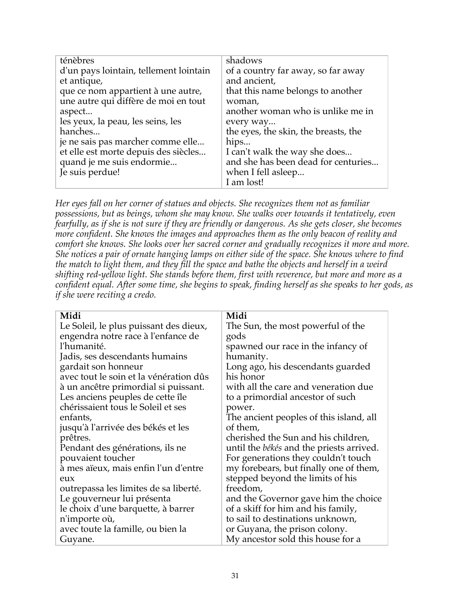| ténèbres                               | shadows                              |
|----------------------------------------|--------------------------------------|
| d'un pays lointain, tellement lointain | of a country far away, so far away   |
| et antique,                            | and ancient,                         |
| que ce nom appartient à une autre,     | that this name belongs to another    |
| une autre qui diffère de moi en tout   | woman,                               |
| aspect                                 | another woman who is unlike me in    |
| les yeux, la peau, les seins, les      | every way                            |
| hanches                                | the eyes, the skin, the breasts, the |
| je ne sais pas marcher comme elle      | hips                                 |
| et elle est morte depuis des siècles   | I can't walk the way she does        |
| quand je me suis endormie              | and she has been dead for centuries  |
| Je suis perdue!                        | when I fell as leep                  |
|                                        | I am lost!                           |

*Her eyes fall on her corner of statues and objects. She recognizes them not as familiar possessions, but as beings, whom she may know. She walks over towards it tentatively, even fearfully, as if she is not sure if they are friendly or dangerous. As she gets closer, she becomes more confident. She knows the images and approaches them as the only beacon of reality and comfort she knows. She looks over her sacred corner and gradually recognizes it more and more. She notices a pair of ornate hanging lamps on either side of the space. She knows where to find the match to light them, and they fill the space and bathe the objects and herself in a weird shifting red-yellow light. She stands before them, first with reverence, but more and more as a confident equal. After some time, she begins to speak, finding herself as she speaks to her gods, as if she were reciting a credo.*

| Midi                                            |
|-------------------------------------------------|
| The Sun, the most powerful of the               |
| gods                                            |
| spawned our race in the infancy of              |
| humanity.                                       |
| Long ago, his descendants guarded               |
| his honor                                       |
| with all the care and veneration due            |
| to a primordial ancestor of such                |
| power.                                          |
| The ancient peoples of this island, all         |
| of them,                                        |
| cherished the Sun and his children,             |
| until the <i>békés</i> and the priests arrived. |
| For generations they couldn't touch             |
| my forebears, but finally one of them,          |
| stepped beyond the limits of his                |
| freedom,                                        |
| and the Governor gave him the choice            |
| of a skiff for him and his family,              |
| to sail to destinations unknown,                |
| or Guyana, the prison colony.                   |
| My ancestor sold this house for a               |
|                                                 |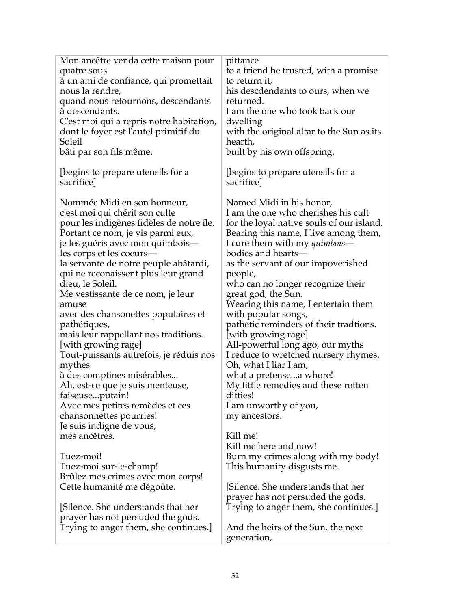| Mon ancêtre venda cette maison pour      | pittance                                  |
|------------------------------------------|-------------------------------------------|
| quatre sous                              | to a friend he trusted, with a promise    |
| à un ami de confiance, qui promettait    | to return it,                             |
| nous la rendre,                          | his descdendants to ours, when we         |
| quand nous retournons, descendants       | returned.                                 |
| à descendants.                           | I am the one who took back our            |
| C'est moi qui a repris notre habitation, | dwelling                                  |
| dont le foyer est l'autel primitif du    | with the original altar to the Sun as its |
| Soleil                                   | hearth,                                   |
| bâti par son fils même.                  | built by his own offspring.               |
|                                          |                                           |
| (begins to prepare utensils for a        | (begins to prepare utensils for a         |
| sacrifice                                | sacrifice                                 |
|                                          |                                           |
| Nommée Midi en son honneur,              | Named Midi in his honor,                  |
| c'est moi qui chérit son culte           | I am the one who cherishes his cult       |
| pour les indigènes fidèles de notre île. | for the loyal native souls of our island. |
| Portant ce nom, je vis parmi eux,        | Bearing this name, I live among them,     |
| je les guéris avec mon quimbois-         | I cure them with my <i>quimbois</i> —     |
| les corps et les coeurs—                 | bodies and hearts—                        |
| la servante de notre peuple abâtardi,    | as the servant of our impoverished        |
| qui ne reconaissent plus leur grand      | people,                                   |
| dieu, le Soleil.                         | who can no longer recognize their         |
| Me vestissante de ce nom, je leur        | great god, the Sun.                       |
| amuse                                    | Wearing this name, I entertain them       |
| avec des chansonettes populaires et      | with popular songs,                       |
| pathétiques,                             | pathetic reminders of their tradtions.    |
| mais leur rappellant nos traditions.     | [with growing rage]                       |
| [with growing rage]                      | All-powerful long ago, our myths          |
| Tout-puissants autrefois, je réduis nos  | I reduce to wretched nursery rhymes.      |
| mythes                                   | Oh, what I liar I am,                     |
| à des comptines misérables               | what a pretensea whore!                   |
| Ah, est-ce que je suis menteuse,         | My little remedies and these rotten       |
| faiseuseputain!                          | ditties!                                  |
| Avec mes petites remèdes et ces          | I am unworthy of you,                     |
| chansonnettes pourries!                  | my ancestors.                             |
| Je suis indigne de vous,                 |                                           |
| mes ancêtres.                            | Kill me!                                  |
|                                          | Kill me here and now!                     |
| Tuez-moi!                                | Burn my crimes along with my body!        |
| Tuez-moi sur-le-champ!                   | This humanity disgusts me.                |
| Brûlez mes crimes avec mon corps!        |                                           |
| Cette humanité me dégoûte.               | [Silence. She understands that her        |
|                                          | prayer has not persuded the gods.         |
| [Silence. She understands that her       | Trying to anger them, she continues.]     |
| prayer has not persuded the gods.        |                                           |
| Trying to anger them, she continues.]    | And the heirs of the Sun, the next        |
|                                          | generation,                               |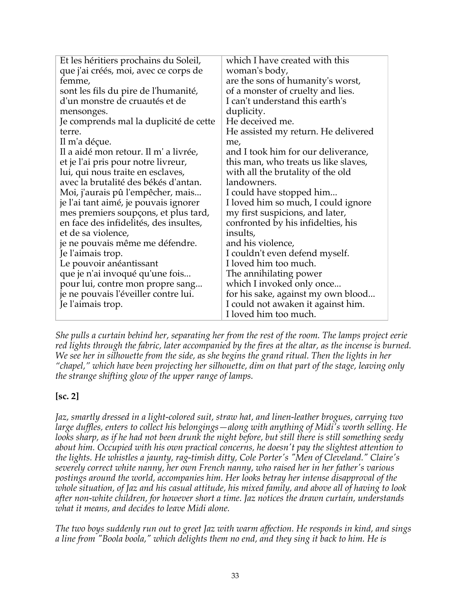| Et les héritiers prochains du Soleil,  | which I have created with this       |
|----------------------------------------|--------------------------------------|
| que j'ai créés, moi, avec ce corps de  | woman's body,                        |
| femme,                                 | are the sons of humanity's worst,    |
| sont les fils du pire de l'humanité,   | of a monster of cruelty and lies.    |
| d'un monstre de cruautés et de         | I can't understand this earth's      |
| mensonges.                             | duplicity.                           |
| Je comprends mal la duplicité de cette | He deceived me.                      |
| terre.                                 | He assisted my return. He delivered  |
| Il m'a déçue.                          | me,                                  |
| Il a aidé mon retour. Il m' a livrée,  | and I took him for our deliverance,  |
| et je l'ai pris pour notre livreur,    | this man, who treats us like slaves, |
| lui, qui nous traite en esclaves,      | with all the brutality of the old    |
| avec la brutalité des békés d'antan.   | landowners.                          |
| Moi, j'aurais pû l'empêcher, mais      | I could have stopped him             |
| je l'ai tant aimé, je pouvais ignorer  | I loved him so much, I could ignore  |
| mes premiers soupçons, et plus tard,   | my first suspicions, and later,      |
| en face des infidelités, des insultes, | confronted by his infidelties, his   |
| et de sa violence,                     | insults,                             |
| je ne pouvais même me défendre.        | and his violence,                    |
| Je l'aimais trop.                      | I couldn't even defend myself.       |
| Le pouvoir anéantissant                | I loved him too much.                |
| que je n'ai invoqué qu'une fois        | The annihilating power               |
| pour lui, contre mon propre sang       | which I invoked only once            |
| je ne pouvais l'éveiller contre lui.   | for his sake, against my own blood   |
| Je l'aimais trop.                      | I could not awaken it against him.   |
|                                        | I loved him too much.                |

*She pulls a curtain behind her, separating her from the rest of the room. The lamps project eerie red lights through the fabric, later accompanied by the fires at the altar, as the incense is burned. We see her in silhouette from the side, as she begins the grand ritual. Then the lights in her "chapel," which have been projecting her silhouette, dim on that part of the stage, leaving only the strange shifting glow of the upper range of lamps.*

## **[sc. 2]**

*Jaz, smartly dressed in a light-colored suit, straw hat, and linen-leather brogues, carrying two large duffles, enters to collect his belongings—along with anything of Midi's worth selling. He looks sharp, as if he had not been drunk the night before, but still there is still something seedy about him. Occupied with his own practical concerns, he doesn't pay the slightest attention to the lights. He whistles a jaunty, rag-timish ditty, Cole Porter's "Men of Cleveland." Claire's severely correct white nanny, her own French nanny, who raised her in her father's various postings around the world, accompanies him. Her looks betray her intense disapproval of the whole situation, of Jaz and his casual attitude, his mixed family, and above all of having to look after non-white children, for however short a time. Jaz notices the drawn curtain, understands what it means, and decides to leave Midi alone.*

*The two boys suddenly run out to greet Jaz with warm affection. He responds in kind, and sings a line from "Boola boola," which delights them no end, and they sing it back to him. He is*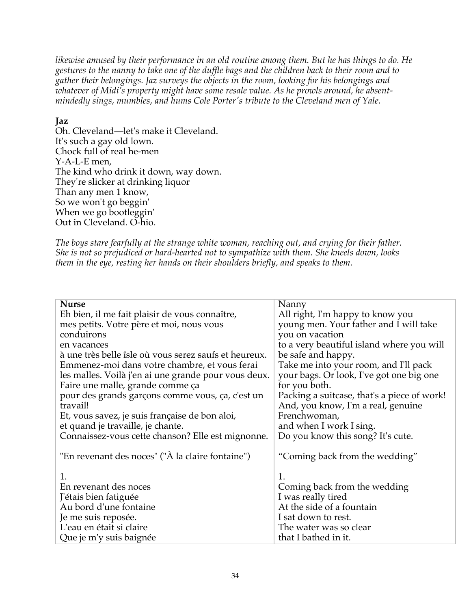*likewise amused by their performance in an old routine among them. But he has things to do. He gestures to the nanny to take one of the duffle bags and the children back to their room and to gather their belongings. Jaz surveys the objects in the room, looking for his belongings and whatever of Midi's property might have some resale value. As he prowls around, he absentmindedly sings, mumbles, and hums Cole Porter's tribute to the Cleveland men of Yale.*

#### **Jaz**

Oh. Cleveland—let's make it Cleveland. It's such a gay old lown. Chock full of real he-men Y-A-L-E men, The kind who drink it down, way down. They're slicker at drinking liquor Than any men 1 know, So we won't go beggin' When we go bootleggin' Out in Cleveland. O-hio.

*The boys stare fearfully at the strange white woman, reaching out, and crying for their father. She is not so prejudiced or hard-hearted not to sympathize with them. She kneels down, looks them in the eye, resting her hands on their shoulders briefly, and speaks to them.*

| <b>Nurse</b>                                          | Nanny                                       |
|-------------------------------------------------------|---------------------------------------------|
| Eh bien, il me fait plaisir de vous connaître,        | All right, I'm happy to know you            |
| mes petits. Votre père et moi, nous vous              | young men. Your father and I will take      |
| conduirons                                            | you on vacation                             |
| en vacances                                           | to a very beautiful island where you will   |
| à une très belle îsle où vous serez saufs et heureux. | be safe and happy.                          |
| Emmenez-moi dans votre chambre, et vous ferai         | Take me into your room, and I'll pack       |
| les malles. Voilà j'en ai une grande pour vous deux.  | your bags. Or look, I've got one big one    |
| Faire une malle, grande comme ça                      | for you both.                               |
| pour des grands garçons comme vous, ça, c'est un      | Packing a suitcase, that's a piece of work! |
| travail!                                              | And, you know, I'm a real, genuine          |
| Et, vous savez, je suis française de bon aloi,        | Frenchwoman,                                |
| et quand je travaille, je chante.                     | and when I work I sing.                     |
| Connaissez-vous cette chanson? Elle est mignonne.     | Do you know this song? It's cute.           |
|                                                       |                                             |
| "En revenant des noces" ("À la claire fontaine")      | "Coming back from the wedding"              |
|                                                       |                                             |
| 1.                                                    | 1.                                          |
| En revenant des noces                                 | Coming back from the wedding                |
| J'étais bien fatiguée                                 | I was really tired                          |
| Au bord d'une fontaine                                | At the side of a fountain                   |
| Je me suis reposée.                                   | I sat down to rest.                         |
| L'eau en était si claire                              | The water was so clear                      |
| Que je m'y suis baignée                               | that I bathed in it.                        |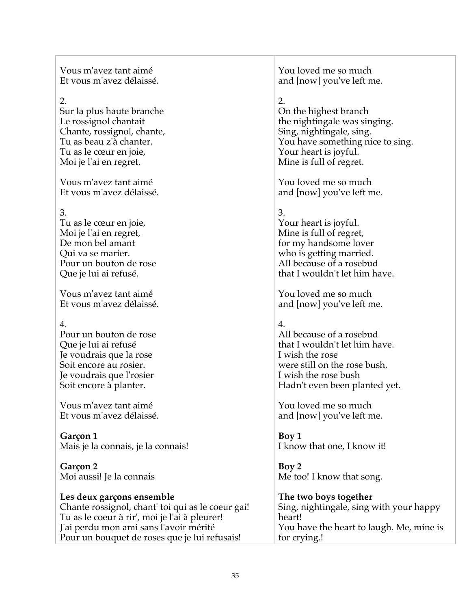Vous m'avez tant aimé Et vous m'avez délaissé.

## 2.

Sur la plus haute branche Le rossignol chantait Chante, rossignol, chante, Tu as beau z'à chanter. Tu as le cœur en joie, Moi je l'ai en regret.

Vous m'avez tant aimé Et vous m'avez délaissé.

## 3.

Tu as le cœur en joie, Moi je l'ai en regret, De mon bel amant Qui va se marier. Pour un bouton de rose Que je lui ai refusé.

Vous m'avez tant aimé Et vous m'avez délaissé.

## 4.

Pour un bouton de rose Que je lui ai refusé Je voudrais que la rose Soit encore au rosier. Je voudrais que l'rosier Soit encore à planter.

Vous m'avez tant aimé Et vous m'avez délaissé.

**Garçon 1** Mais je la connais, je la connais!

**Garçon 2** Moi aussi! Je la connais

## **Les deux garçons ensemble**

Chante rossignol, chant' toi qui as le coeur gai! Tu as le coeur à rir', moi je l'ai à pleurer! J'ai perdu mon ami sans l'avoir mérité Pour un bouquet de roses que je lui refusais!

You loved me so much and [now] you've left me.

# 2.

On the highest branch the nightingale was singing. Sing, nightingale, sing. You have something nice to sing. Your heart is joyful. Mine is full of regret.

You loved me so much and [now] you've left me.

# 3.

Your heart is joyful. Mine is full of regret, for my handsome lover who is getting married. All because of a rosebud that I wouldn't let him have.

You loved me so much and [now] you've left me.

## 4.

All because of a rosebud that I wouldn't let him have. I wish the rose were still on the rose bush. I wish the rose bush Hadn't even been planted yet.

You loved me so much and [now] you've left me.

**Boy 1** I know that one, I know it!

**Boy 2** Me too! I know that song.

**The two boys together** Sing, nightingale, sing with your happy heart! You have the heart to laugh. Me, mine is for crying.!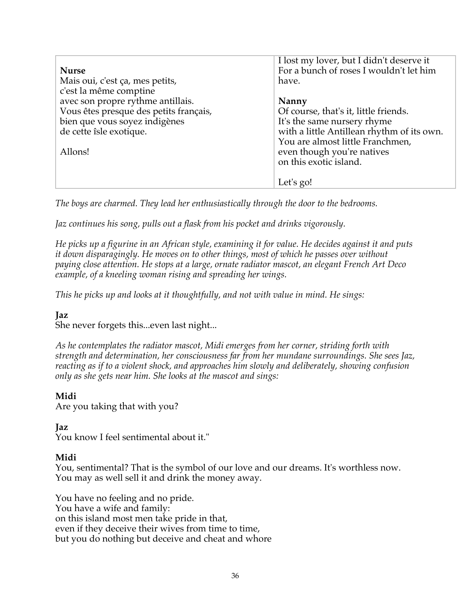| <b>Nurse</b><br>Mais oui, c'est ça, mes petits,                                                               | I lost my lover, but I didn't deserve it<br>For a bunch of roses I wouldn't let him<br>have.                                                                                                                   |
|---------------------------------------------------------------------------------------------------------------|----------------------------------------------------------------------------------------------------------------------------------------------------------------------------------------------------------------|
| c'est la même comptine<br>avec son propre rythme antillais.                                                   | <b>Nanny</b>                                                                                                                                                                                                   |
| Vous êtes presque des petits français,<br>bien que vous soyez indigènes<br>de cette îsle exotique.<br>Allons! | Of course, that's it, little friends.<br>It's the same nursery rhyme<br>with a little Antillean rhythm of its own.<br>You are almost little Franchmen,<br>even though you're natives<br>on this exotic island. |
|                                                                                                               | Let's go!                                                                                                                                                                                                      |

*The boys are charmed. They lead her enthusiastically through the door to the bedrooms.* 

*Jaz continues his song, pulls out a flask from his pocket and drinks vigorously.*

*He picks up a figurine in an African style, examining it for value. He decides against it and puts it down disparagingly. He moves on to other things, most of which he passes over without paying close attention. He stops at a large, ornate radiator mascot, an elegant French Art Deco example, of a kneeling woman rising and spreading her wings.* 

*This he picks up and looks at it thoughtfully, and not with value in mind. He sings:* 

## **Jaz**

She never forgets this...even last night...

*As he contemplates the radiator mascot, Midi emerges from her corner, striding forth with strength and determination, her consciousness far from her mundane surroundings. She sees Jaz, reacting as if to a violent shock, and approaches him slowly and deliberately, showing confusion only as she gets near him. She looks at the mascot and sings:*

#### **Midi**

Are you taking that with you?

#### **Jaz**

You know I feel sentimental about it."

#### **Midi**

You, sentimental? That is the symbol of our love and our dreams. It's worthless now. You may as well sell it and drink the money away.

You have no feeling and no pride. You have a wife and family: on this island most men take pride in that, even if they deceive their wives from time to time, but you do nothing but deceive and cheat and whore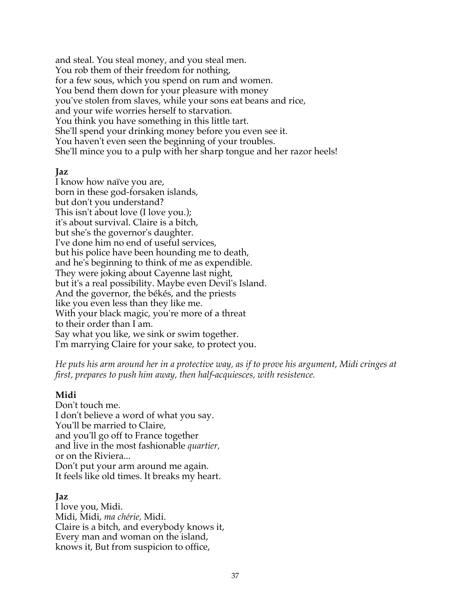and steal. You steal money, and you steal men. You rob them of their freedom for nothing, for a few sous, which you spend on rum and women. You bend them down for your pleasure with money you've stolen from slaves, while your sons eat beans and rice, and your wife worries herself to starvation. You think you have something in this little tart. She'll spend your drinking money before you even see it. You haven't even seen the beginning of your troubles. She'll mince you to a pulp with her sharp tongue and her razor heels!

#### **Jaz**

I know how naïve you are, born in these god-forsaken islands, but don't you understand? This isn't about love (I love you.); it's about survival. Claire is a bitch, but she's the governor's daughter. I've done him no end of useful services, but his police have been hounding me to death, and he's beginning to think of me as expendible. They were joking about Cayenne last night, but it's a real possibility. Maybe even Devil's Island. And the governor, the békés, and the priests like you even less than they like me. With your black magic, you're more of a threat to their order than I am. Say what you like, we sink or swim together. I'm marrying Claire for your sake, to protect you.

*He puts his arm around her in a protective way, as if to prove his argument, Midi cringes at first, prepares to push him away, then half-acquiesces, with resistence.*

#### **Midi**

Don't touch me. I don't believe a word of what you say. You'll be married to Claire, and you'll go off to France together and live in the most fashionable *quartier,* or on the Riviera... Don't put your arm around me again. It feels like old times. It breaks my heart.

## **Jaz**

I love you, Midi. Midi, Midi, *ma chérie,* Midi. Claire is a bitch, and everybody knows it, Every man and woman on the island, knows it, But from suspicion to office,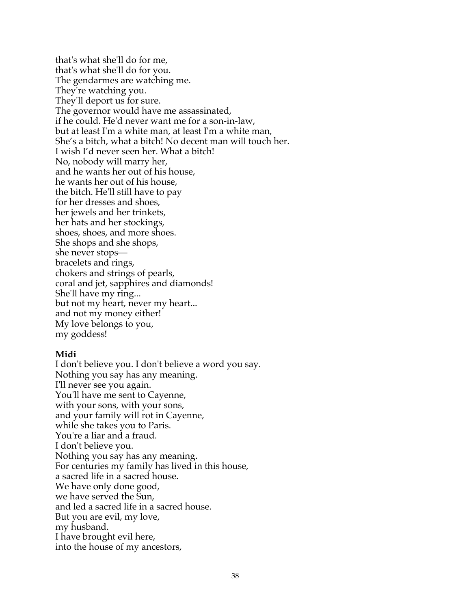that's what she'll do for me, that's what she'll do for you. The gendarmes are watching me. They're watching you. They'll deport us for sure. The governor would have me assassinated, if he could. He'd never want me for a son-in-law, but at least I'm a white man, at least I'm a white man, She's a bitch, what a bitch! No decent man will touch her. I wish I'd never seen her. What a bitch! No, nobody will marry her, and he wants her out of his house, he wants her out of his house, the bitch. He'll still have to pay for her dresses and shoes, her jewels and her trinkets, her hats and her stockings, shoes, shoes, and more shoes. She shops and she shops, she never stops bracelets and rings, chokers and strings of pearls, coral and jet, sapphires and diamonds! She'll have my ring... but not my heart, never my heart... and not my money either! My love belongs to you, my goddess!

#### **Midi**

I don't believe you. I don't believe a word you say. Nothing you say has any meaning. I'll never see you again. You'll have me sent to Cayenne, with your sons, with your sons, and your family will rot in Cayenne, while she takes you to Paris. You're a liar and a fraud. I don't believe you. Nothing you say has any meaning. For centuries my family has lived in this house, a sacred life in a sacred house. We have only done good, we have served the Sun, and led a sacred life in a sacred house. But you are evil, my love, my husband. I have brought evil here, into the house of my ancestors,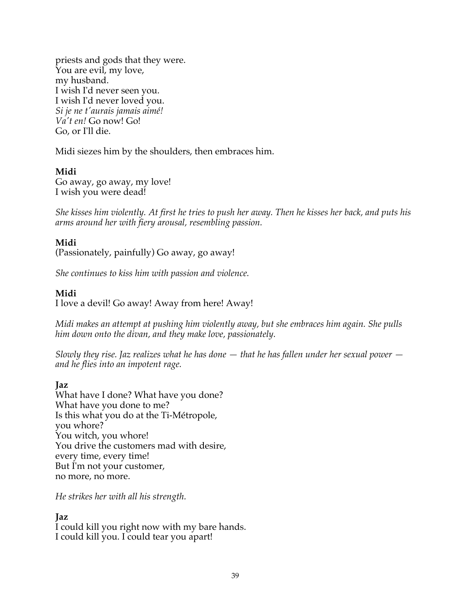priests and gods that they were. You are evil, my love, my husband. I wish I'd never seen you. I wish I'd never loved you. *Si je ne t'aurais jamais aimé! Va't en!* Go now! Go! Go, or I'll die.

Midi siezes him by the shoulders, then embraces him.

## **Midi**

Go away, go away, my love! I wish you were dead!

*She kisses him violently. At first he tries to push her away. Then he kisses her back, and puts his arms around her with fiery arousal, resembling passion.*

## **Midi**

(Passionately, painfully) Go away, go away!

*She continues to kiss him with passion and violence.*

## **Midi**

I love a devil! Go away! Away from here! Away!

*Midi makes an attempt at pushing him violently away, but she embraces him again. She pulls him down onto the divan, and they make love, passionately.*

*Slowly they rise. Jaz realizes what he has done — that he has fallen under her sexual power and he flies into an impotent rage.*

## **Jaz**

What have I done? What have you done? What have you done to me? Is this what you do at the Ti-Métropole, you whore? You witch, you whore! You drive the customers mad with desire, every time, every time! But I'm not your customer, no more, no more.

*He strikes her with all his strength.*

## **Jaz**

I could kill you right now with my bare hands. I could kill you. I could tear you apart!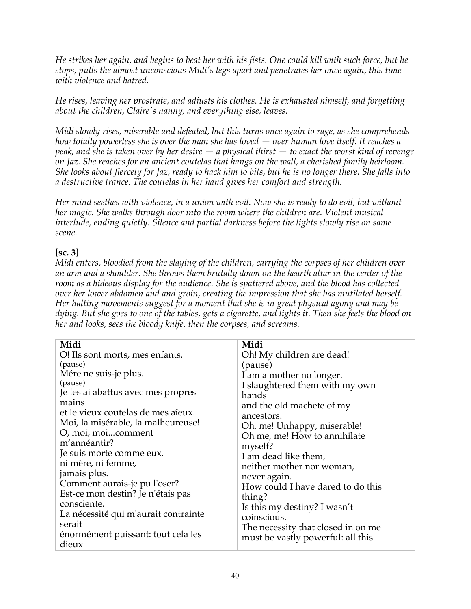*He strikes her again, and begins to beat her with his fists. One could kill with such force, but he stops, pulls the almost unconscious Midi's legs apart and penetrates her once again, this time with violence and hatred.*

*He rises, leaving her prostrate, and adjusts his clothes. He is exhausted himself, and forgetting about the children, Claire's nanny, and everything else, leaves.*

*Midi slowly rises, miserable and defeated, but this turns once again to rage, as she comprehends how totally powerless she is over the man she has loved — over human love itself. It reaches a peak, and she is taken over by her desire — a physical thirst — to exact the worst kind of revenge on Jaz. She reaches for an ancient coutelas that hangs on the wall, a cherished family heirloom. She looks about fiercely for Jaz, ready to hack him to bits, but he is no longer there. She falls into a destructive trance. The coutelas in her hand gives her comfort and strength.*

*Her mind seethes with violence, in a union with evil. Now she is ready to do evil, but without her magic. She walks through door into the room where the children are. Violent musical interlude, ending quietly. Silence and partial darkness before the lights slowly rise on same scene.*

## **[sc. 3]**

*Midi enters, bloodied from the slaying of the children, carrying the corpses of her children over an arm and a shoulder. She throws them brutally down on the hearth altar in the center of the room as a hideous display for the audience. She is spattered above, and the blood has collected over her lower abdomen and and groin, creating the impression that she has mutilated herself. Her halting movements suggest for a moment that she is in great physical agony and may be dying. But she goes to one of the tables, gets a cigarette, and lights it. Then she feels the blood on her and looks, sees the bloody knife, then the corpses, and screams.* 

| Midi                                        | Midi                               |
|---------------------------------------------|------------------------------------|
| O! Ils sont morts, mes enfants.             | Oh! My children are dead!          |
| (pause)                                     | (pause)                            |
| Mére ne suis-je plus.                       | I am a mother no longer.           |
| (pause)                                     | I slaughtered them with my own     |
| Je les ai abattus avec mes propres          | hands                              |
| mains                                       | and the old machete of my          |
| et le vieux coutelas de mes aîeux.          | ancestors.                         |
| Moi, la misérable, la malheureuse!          | Oh, me! Unhappy, miserable!        |
| O, moi, moicomment                          | Oh me, me! How to annihilate       |
| m'annéantir?                                | myself?                            |
| Je suis morte comme eux,                    | I am dead like them,               |
| ni mère, ni femme,                          | neither mother nor woman,          |
| jamais plus.                                | never again.                       |
| Comment aurais-je pu l'oser?                | How could I have dared to do this  |
| Est-ce mon destin? Je n'étais pas           | thing?                             |
| consciente.                                 | Is this my destiny? I wasn't       |
| La nécessité qui m'aurait contrainte        | coinscious.                        |
| serait                                      | The necessity that closed in on me |
| énormément puissant: tout cela les<br>dieux | must be vastly powerful: all this  |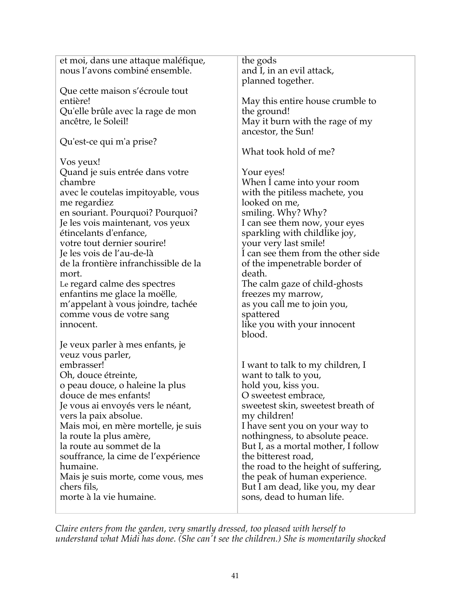| et moi, dans une attaque maléfique,<br>nous l'avons combiné ensemble. | the gods<br>and I, in an evil attack,<br>planned together. |
|-----------------------------------------------------------------------|------------------------------------------------------------|
| Que cette maison s'écroule tout                                       |                                                            |
| entière!                                                              | May this entire house crumble to                           |
| Qu'elle brûle avec la rage de mon                                     | the ground!                                                |
| ancêtre, le Soleil!                                                   | May it burn with the rage of my                            |
|                                                                       | ancestor, the Sun!                                         |
| Qu'est-ce qui m'a prise?                                              |                                                            |
|                                                                       | What took hold of me?                                      |
|                                                                       |                                                            |
| Vos yeux!                                                             |                                                            |
| Quand je suis entrée dans votre                                       | Your eyes!                                                 |
| chambre                                                               | When I came into your room                                 |
| avec le coutelas impitoyable, vous                                    | with the pitiless machete, you                             |
| me regardiez                                                          | looked on me,                                              |
| en souriant. Pourquoi? Pourquoi?                                      | smiling. Why? Why?                                         |
| Je les vois maintenant, vos yeux                                      | I can see them now, your eyes                              |
| étincelants d'enfance,                                                | sparkling with childlike joy,                              |
| votre tout dernier sourire!                                           | your very last smile!                                      |
| Je les vois de l'au-de-là                                             | I can see them from the other side                         |
| de la frontière infranchissible de la                                 | of the impenetrable border of                              |
| mort.                                                                 | death.                                                     |
|                                                                       |                                                            |
| Le regard calme des spectres                                          | The calm gaze of child-ghosts                              |
| enfantins me glace la moëlle,                                         | freezes my marrow,                                         |
| m'appelant à vous joindre, tachée                                     | as you call me to join you,                                |
| comme vous de votre sang                                              | spattered                                                  |
| innocent.                                                             | like you with your innocent                                |
|                                                                       | blood.                                                     |
| Je veux parler à mes enfants, je                                      |                                                            |
| veuz vous parler,                                                     |                                                            |
| embrasser!                                                            | I want to talk to my children, I                           |
| Oh, douce étreinte,                                                   | want to talk to you,                                       |
| o peau douce, o haleine la plus                                       | hold you, kiss you.                                        |
| douce de mes enfants!                                                 | O sweetest embrace,                                        |
|                                                                       |                                                            |
| Je vous ai envoyés vers le néant,                                     | sweetest skin, sweetest breath of                          |
| vers la paix absolue.                                                 | my children!                                               |
| Mais moi, en mère mortelle, je suis                                   | I have sent you on your way to                             |
| la route la plus amère,                                               | nothingness, to absolute peace.                            |
| la route au sommet de la                                              | But I, as a mortal mother, I follow                        |
| souffrance, la cime de l'expérience                                   | the bitterest road,                                        |
| humaine.                                                              | the road to the height of suffering,                       |
| Mais je suis morte, come vous, mes                                    | the peak of human experience.                              |
| chers fils,                                                           | But I am dead, like you, my dear                           |
| morte à la vie humaine.                                               | sons, dead to human life.                                  |
|                                                                       |                                                            |

*Claire enters from the garden, very smartly dressed, too pleased with herself to understand what Midi has done. (She can't see the children.) She is momentarily shocked*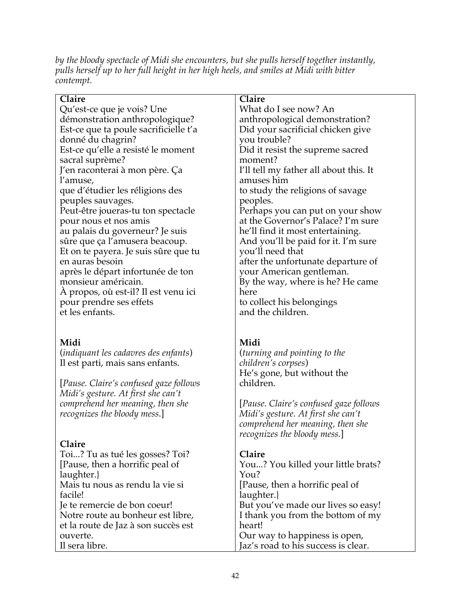*by the bloody spectacle of Midi she encounters, but she pulls herself together instantly, pulls herself up to her full height in her high heels, and smiles at Midi with bitter contempt.*

| Claire                                                      | Claire                                               |
|-------------------------------------------------------------|------------------------------------------------------|
| Qu'est-ce que je vois? Une                                  | What do I see now? An                                |
| démonstration anthropologique?                              | anthropological demonstration?                       |
| Est-ce que ta poule sacrificielle t'a                       | Did your sacrificial chicken give                    |
| donné du chagrin?                                           | you trouble?                                         |
| Est-ce qu'elle a resisté le moment                          | Did it resist the supreme sacred                     |
| sacral suprème?                                             | moment?                                              |
| J'en raconterai à mon père. Ça                              | I'll tell my father all about this. It<br>amuses him |
| l'amuse,                                                    |                                                      |
| que d'étudier les réligions des                             | to study the religions of savage                     |
| peuples sauvages.                                           | peoples.<br>Perhaps you can put on your show         |
| Peut-être joueras-tu ton spectacle<br>pour nous et nos amis | at the Governor's Palace? I'm sure                   |
| au palais du governeur? Je suis                             | he'll find it most entertaining.                     |
| sûre que ça l'amusera beacoup.                              | And you'll be paid for it. I'm sure                  |
| Et on te payera. Je suis sûre que tu                        | you'll need that                                     |
| en auras besoin                                             | after the unfortunate departure of                   |
| après le départ infortunée de ton                           | your American gentleman.                             |
| monsieur américain.                                         | By the way, where is he? He came                     |
| A propos, où est-il? Il est venu ici                        | here                                                 |
| pour prendre ses effets                                     | to collect his belongings                            |
| et les enfants.                                             | and the children.                                    |
|                                                             |                                                      |
|                                                             |                                                      |
| Midi                                                        | Midi                                                 |
| (indiquant les cadavres des enfants)                        | <i>(turning and pointing to the</i>                  |
| Il est parti, mais sans enfants.                            | children's corpses)                                  |
|                                                             | He's gone, but without the                           |
| [Pause. Claire's confused gaze follows                      | children.                                            |
| Midi's gesture. At first she can't                          |                                                      |
| comprehend her meaning, then she                            | [Pause. Claire's confused gaze follows               |
| <i>recognizes the bloody mess.]</i>                         | Midi's gesture. At first she can't                   |
|                                                             |                                                      |
|                                                             | comprehend her meaning, then she                     |
|                                                             | recognizes the bloody mess.]                         |
| Claire                                                      |                                                      |
| Toi? Tu as tué les gosses? Toi?                             | Claire                                               |
| [Pause, then a horrific peal of                             | You? You killed your little brats?                   |
| laughter.}                                                  | You?                                                 |
| Mais tu nous as rendu la vie si                             | [Pause, then a horrific peal of                      |
| facile!                                                     | laughter.                                            |
| Je te remercie de bon coeur!                                | But you've made our lives so easy!                   |
| Notre route au bonheur est libre,                           | I thank you from the bottom of my                    |
| et la route de Jaz à son succès est                         | heart!                                               |
| ouverte.                                                    | Our way to happiness is open,                        |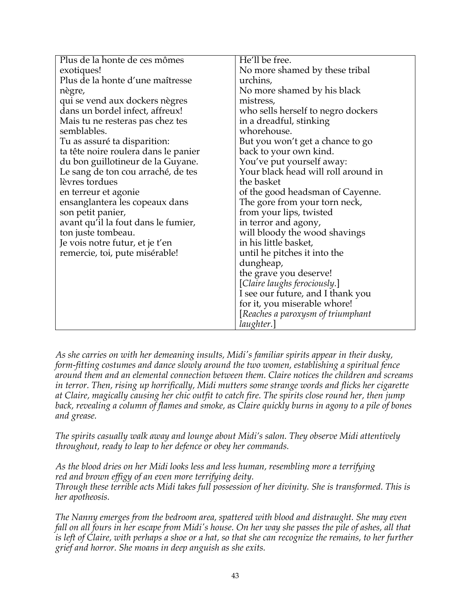| Plus de la honte de ces mômes        | He'll be free.                      |
|--------------------------------------|-------------------------------------|
| exotiques!                           | No more shamed by these tribal      |
| Plus de la honte d'une maîtresse     | urchins,                            |
| nègre,                               | No more shamed by his black         |
| qui se vend aux dockers nègres       | mistress,                           |
| dans un bordel infect, affreux!      | who sells herself to negro dockers  |
| Mais tu ne resteras pas chez tes     | in a dreadful, stinking             |
| semblables.                          | whorehouse.                         |
| Tu as assuré ta disparition:         | But you won't get a chance to go    |
| ta tête noire roulera dans le panier | back to your own kind.              |
| du bon guillotineur de la Guyane.    | You've put yourself away:           |
| Le sang de ton cou arraché, de tes   | Your black head will roll around in |
| lèvres tordues                       | the basket                          |
| en terreur et agonie                 | of the good headsman of Cayenne.    |
| ensanglantera les copeaux dans       | The gore from your torn neck,       |
| son petit panier,                    | from your lips, twisted             |
| avant qu'il la fout dans le fumier,  | in terror and agony,                |
| ton juste tombeau.                   | will bloody the wood shavings       |
| Je vois notre futur, et je t'en      | in his little basket,               |
| remercie, toi, pute misérable!       | until he pitches it into the        |
|                                      | dungheap,                           |
|                                      | the grave you deserve!              |
|                                      | [Claire laughs ferociously.]        |
|                                      | I see our future, and I thank you   |
|                                      | for it, you miserable whore!        |
|                                      | [Reaches a paroxysm of triumphant   |
|                                      | laughter.]                          |

*As she carries on with her demeaning insults, Midi's familiar spirits appear in their dusky, form-fitting costumes and dance slowly around the two women, establishing a spiritual fence around them and an elemental connection between them. Claire notices the children and screams in terror. Then, rising up horrifically, Midi mutters some strange words and flicks her cigarette at Claire, magically causing her chic outfit to catch fire. The spirits close round her, then jump back, revealing a column of flames and smoke, as Claire quickly burns in agony to a pile of bones and grease.*

*The spirits casually walk away and lounge about Midi's salon. They observe Midi attentively throughout, ready to leap to her defence or obey her commands.*

*As the blood dries on her Midi looks less and less human, resembling more a terrifying red and brown effigy of an even more terrifying deity. Through these terrible acts Midi takes full possession of her divinity. She is transformed. This is her apotheosis.*

*The Nanny emerges from the bedroom area, spattered with blood and distraught. She may even fall on all fours in her escape from Midi's house. On her way she passes the pile of ashes, all that is left of Claire, with perhaps a shoe or a hat, so that she can recognize the remains, to her further grief and horror. She moans in deep anguish as she exits.*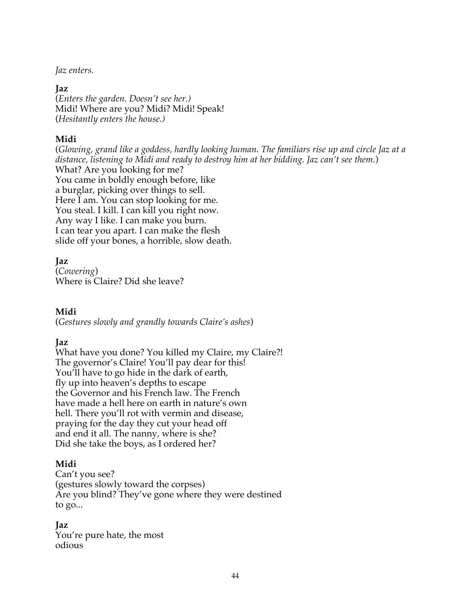*Jaz enters.* 

#### **Jaz**

(*Enters the garden. Doesn't see her.)* Midi! Where are you? Midi? Midi! Speak! (*Hesitantly enters the house.)*

## **Midi**

(*Glowing, grand like a goddess, hardly looking human. The familiars rise up and circle Jaz at a distance, listening to Midi and ready to destroy him at her bidding. Jaz can't see them.*) What? Are you looking for me? You came in boldly enough before, like a burglar, picking over things to sell. Here I am. You can stop looking for me. You steal. I kill. I can kill you right now. Any way I like. I can make you burn. I can tear you apart. I can make the flesh slide off your bones, a horrible, slow death.

## **Jaz**

(*Cowering*) Where is Claire? Did she leave?

## **Midi**

(*Gestures slowly and grandly towards Claire's ashes*)

## **Jaz**

What have you done? You killed my Claire, my Claire?! The governor's Claire! You'll pay dear for this! You'll have to go hide in the dark of earth, fly up into heaven's depths to escape the Governor and his French law. The French have made a hell here on earth in nature's own hell. There you'll rot with vermin and disease, praying for the day they cut your head off and end it all. The nanny, where is she? Did she take the boys, as I ordered her?

## **Midi**

Can't you see? (gestures slowly toward the corpses) Are you blind? They've gone where they were destined to go...

## **Jaz**

You're pure hate, the most odious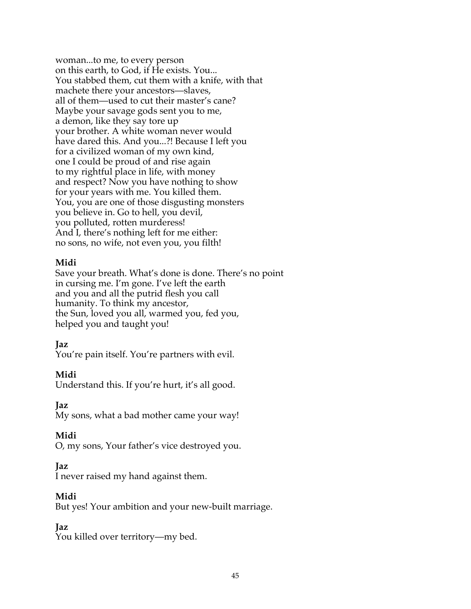woman...to me, to every person on this earth, to God, if He exists. You... You stabbed them, cut them with a knife, with that machete there your ancestors—slaves, all of them—used to cut their master's cane? Maybe your savage gods sent you to me, a demon, like they say tore up your brother. A white woman never would have dared this. And you...?! Because I left you for a civilized woman of my own kind, one I could be proud of and rise again to my rightful place in life, with money and respect? Now you have nothing to show for your years with me. You killed them. You, you are one of those disgusting monsters you believe in. Go to hell, you devil, you polluted, rotten murderess! And I, there's nothing left for me either: no sons, no wife, not even you, you filth!

#### **Midi**

Save your breath. What's done is done. There's no point in cursing me. I'm gone. I've left the earth and you and all the putrid flesh you call humanity. To think my ancestor, the Sun, loved you all, warmed you, fed you, helped you and taught you!

#### **Jaz**

You're pain itself. You're partners with evil.

#### **Midi**

Understand this. If you're hurt, it's all good.

**Jaz**

My sons, what a bad mother came your way!

## **Midi**

O, my sons, Your father's vice destroyed you.

#### **Jaz**

I never raised my hand against them.

#### **Midi**

But yes! Your ambition and your new-built marriage.

## **Jaz**

You killed over territory—my bed.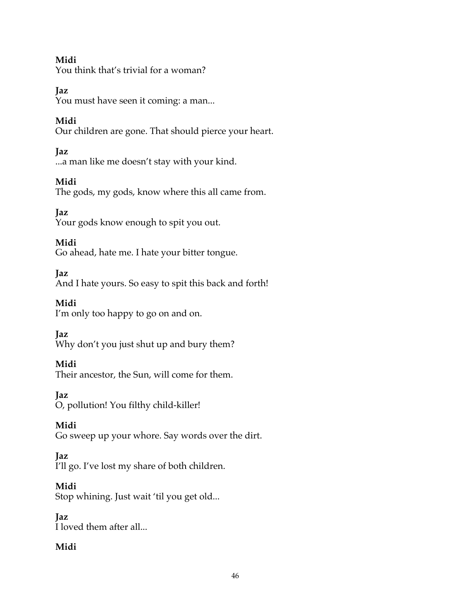## **Midi**

You think that's trivial for a woman?

# **Jaz**

You must have seen it coming: a man...

# **Midi**

Our children are gone. That should pierce your heart.

# **Jaz**

...a man like me doesn't stay with your kind.

# **Midi**

The gods, my gods, know where this all came from.

# **Jaz**

Your gods know enough to spit you out.

# **Midi**

Go ahead, hate me. I hate your bitter tongue.

# **Jaz**

And I hate yours. So easy to spit this back and forth!

# **Midi**

I'm only too happy to go on and on.

# **Jaz**

Why don't you just shut up and bury them?

# **Midi**

Their ancestor, the Sun, will come for them.

# **Jaz**

O, pollution! You filthy child-killer!

# **Midi**

Go sweep up your whore. Say words over the dirt.

# **Jaz**

I'll go. I've lost my share of both children.

# **Midi**

Stop whining. Just wait 'til you get old...

# **Jaz**

I loved them after all...

# **Midi**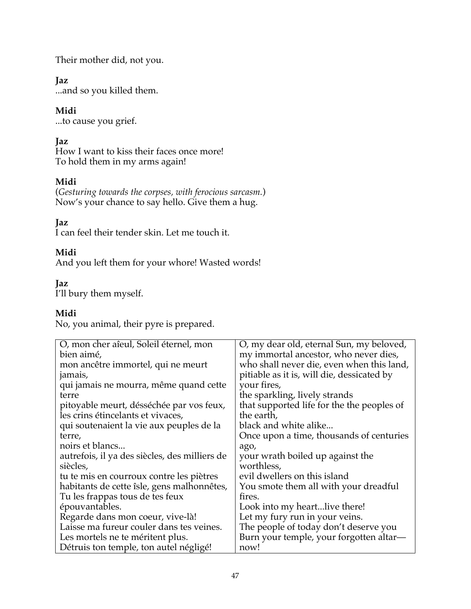Their mother did, not you.

## **Jaz**

...and so you killed them.

## **Midi**

...to cause you grief.

# **Jaz**

How I want to kiss their faces once more! To hold them in my arms again!

# **Midi**

(*Gesturing towards the corpses, with ferocious sarcasm.*) Now's your chance to say hello. Give them a hug.

## **Jaz**

I can feel their tender skin. Let me touch it.

## **Midi**

And you left them for your whore! Wasted words!

## **Jaz**

I'll bury them myself.

## **Midi**

No, you animal, their pyre is prepared.

| O, mon cher aîeul, Soleil éternel, mon        | O, my dear old, eternal Sun, my beloved,   |
|-----------------------------------------------|--------------------------------------------|
| bien aimé,                                    | my immortal ancestor, who never dies,      |
| mon ancêtre immortel, qui ne meurt            | who shall never die, even when this land,  |
| jamais,                                       | pitiable as it is, will die, dessicated by |
| qui jamais ne mourra, même quand cette        | your fires,                                |
| terre                                         | the sparkling, lively strands              |
| pitoyable meurt, désséchée par vos feux,      | that supported life for the the peoples of |
| les crins étincelants et vivaces,             | the earth,                                 |
| qui soutenaient la vie aux peuples de la      | black and white alike                      |
| terre,                                        | Once upon a time, thousands of centuries   |
| noirs et blancs                               | ago,                                       |
| autrefois, il ya des siècles, des milliers de | your wrath boiled up against the           |
| siècles,                                      | worthless,                                 |
| tu te mis en courroux contre les piètres      | evil dwellers on this island               |
| habitants de cette îsle, gens malhonnêtes,    | You smote them all with your dreadful      |
| Tu les frappas tous de tes feux               | fires.                                     |
| épouvantables.                                | Look into my heartlive there!              |
| Regarde dans mon coeur, vive-là!              | Let my fury run in your veins.             |
| Laisse ma fureur couler dans tes veines.      | The people of today don't deserve you      |
| Les mortels ne te méritent plus.              | Burn your temple, your forgotten altar-    |
| Détruis ton temple, ton autel négligé!        | now!                                       |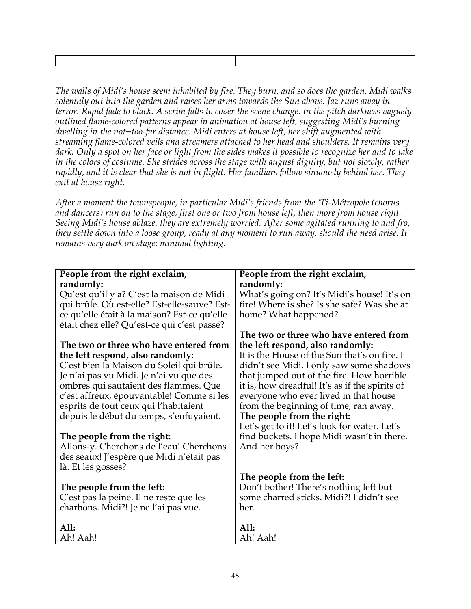*The walls of Midi's house seem inhabited by fire. They burn, and so does the garden. Midi walks solemnly out into the garden and raises her arms towards the Sun above. Jaz runs away in terror. Rapid fade to black. A scrim falls to cover the scene change. In the pitch darkness vaguely outlined flame-colored patterns appear in animation at house left, suggesting Midi's burning dwelling in the not=too-far distance. Midi enters at house left, her shift augmented with streaming flame-colored veils and streamers attached to her head and shoulders. It remains very dark. Only a spot on her face or light from the sides makes it possible to recognize her and to take*  in the colors of costume. She strides across the stage with august dignity, but not slowly, rather *rapidly, and it is clear that she is not in flight. Her familiars follow sinuously behind her. They exit at house right.*

*After a moment the townspeople, in particular Midi's friends from the 'Ti-Métropole (chorus and dancers) run on to the stage, first one or two from house left, then more from house right. Seeing Midi's house ablaze, they are extremely worried. After some agitated running to and fro, they settle down into a loose group, ready at any moment to run away, should the need arise. It remains very dark on stage: minimal lighting.*

| People from the right exclaim,               | People from the right exclaim,                 |
|----------------------------------------------|------------------------------------------------|
| randomly:                                    | randomly:                                      |
| Qu'est qu'il y a? C'est la maison de Midi    | What's going on? It's Midi's house! It's on    |
| qui brûle. Où est-elle? Est-elle-sauve? Est- | fire! Where is she? Is she safe? Was she at    |
| ce qu'elle était à la maison? Est-ce qu'elle | home? What happened?                           |
| était chez elle? Qu'est-ce qui c'est passé?  |                                                |
|                                              | The two or three who have entered from         |
| The two or three who have entered from       | the left respond, also randomly:               |
| the left respond, also randomly:             | It is the House of the Sun that's on fire. I   |
| C'est bien la Maison du Soleil qui brüle.    | didn't see Midi. I only saw some shadows       |
| Je n'ai pas vu Midi. Je n'ai vu que des      | that jumped out of the fire. How horrible      |
| ombres qui sautaient des flammes. Que        | it is, how dreadful! It's as if the spirits of |
| c'est affreux, épouvantable! Comme si les    | everyone who ever lived in that house          |
| esprits de tout ceux qui l'habitaient        | from the beginning of time, ran away.          |
| depuis le début du temps, s'enfuyaient.      | The people from the right:                     |
|                                              | Let's get to it! Let's look for water. Let's   |
| The people from the right:                   | find buckets. I hope Midi wasn't in there.     |
| Allons-y. Cherchons de l'eau! Cherchons      | And her boys?                                  |
| des seaux! J'espère que Midi n'était pas     |                                                |
| là. Et les gosses?                           |                                                |
|                                              | The people from the left:                      |
| The people from the left:                    | Don't bother! There's nothing left but         |
| C'est pas la peine. Il ne reste que les      | some charred sticks. Midi?! I didn't see       |
| charbons. Midi?! Je ne l'ai pas vue.         | her.                                           |
|                                              |                                                |
| All:                                         | All:                                           |
| Ah! Aah!                                     | Ah! Aah!                                       |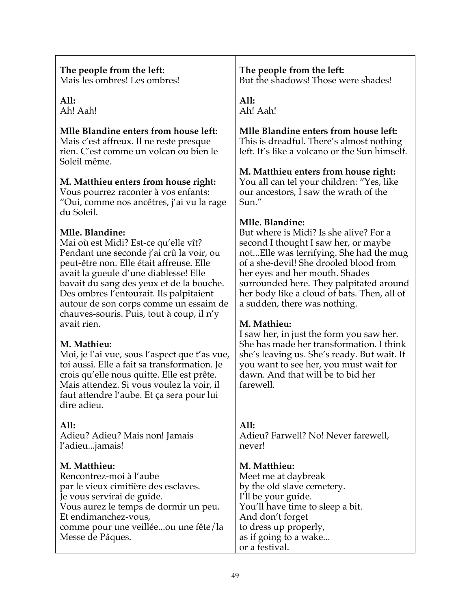| The people from the left:<br>Mais les ombres! Les ombres!                                                                                                                                                                                                                                                                                                                            | The people from the left:<br>But the shadows! Those were shades!                                                                                                                                                                                                                                                                                   |
|--------------------------------------------------------------------------------------------------------------------------------------------------------------------------------------------------------------------------------------------------------------------------------------------------------------------------------------------------------------------------------------|----------------------------------------------------------------------------------------------------------------------------------------------------------------------------------------------------------------------------------------------------------------------------------------------------------------------------------------------------|
| All:<br>Ah! Aah!                                                                                                                                                                                                                                                                                                                                                                     | All:<br>Ah! Aah!                                                                                                                                                                                                                                                                                                                                   |
| Mlle Blandine enters from house left:<br>Mais c'est affreux. Il ne reste presque<br>rien. C'est comme un volcan ou bien le<br>Soleil même.                                                                                                                                                                                                                                           | Mlle Blandine enters from house left:<br>This is dreadful. There's almost nothing<br>left. It's like a volcano or the Sun himself.                                                                                                                                                                                                                 |
| M. Matthieu enters from house right:<br>Vous pourrez raconter à vos enfants:<br>"Oui, comme nos ancêtres, j'ai vu la rage                                                                                                                                                                                                                                                            | M. Matthieu enters from house right:<br>You all can tel your children: "Yes, like<br>our ancestors, I saw the wrath of the<br>Sun."                                                                                                                                                                                                                |
| du Soleil.<br>Mlle. Blandine:<br>Mai où est Midi? Est-ce qu'elle vît?<br>Pendant une seconde j'ai crû la voir, ou<br>peut-être non. Elle était affreuse. Elle<br>avait la gueule d'une diablesse! Elle<br>bavait du sang des yeux et de la bouche.<br>Des ombres l'entourait. Ils palpitaient<br>autour de son corps comme un essaim de<br>chauves-souris. Puis, tout à coup, il n'y | Mlle. Blandine:<br>But where is Midi? Is she alive? For a<br>second I thought I saw her, or maybe<br>notElle was terrifying. She had the mug<br>of a she-devil! She drooled blood from<br>her eyes and her mouth. Shades<br>surrounded here. They palpitated around<br>her body like a cloud of bats. Then, all of<br>a sudden, there was nothing. |
| avait rien.<br>M. Mathieu:<br>Moi, je l'ai vue, sous l'aspect que t'as vue,<br>toi aussi. Elle a fait sa transformation. Je<br>crois qu'elle nous quitte. Elle est prête.<br>Mais attendez. Si vous voulez la voir, il<br>faut attendre l'aube. Et ça sera pour lui<br>dire adieu.                                                                                                   | M. Mathieu:<br>I saw her, in just the form you saw her.<br>She has made her transformation. I think<br>she's leaving us. She's ready. But wait. If<br>you want to see her, you must wait for<br>dawn. And that will be to bid her<br>farewell.                                                                                                     |
| All:<br>Adieu? Adieu? Mais non! Jamais<br>l'adieujamais!                                                                                                                                                                                                                                                                                                                             | All:<br>Adieu? Farwell? No! Never farewell,<br>never!                                                                                                                                                                                                                                                                                              |
| M. Matthieu:<br>Rencontrez-moi à l'aube<br>par le vieux cimitière des esclaves.<br>Je vous servirai de guide.<br>Vous aurez le temps de dormir un peu.<br>Et endimanchez-vous,<br>comme pour une veilléeou une fête/la<br>Messe de Pâques.                                                                                                                                           | M. Matthieu:<br>Meet me at daybreak<br>by the old slave cemetery.<br>I'll be your guide.<br>You'll have time to sleep a bit.<br>And don't forget<br>to dress up properly,<br>as if going to a wake<br>or a festival.                                                                                                                               |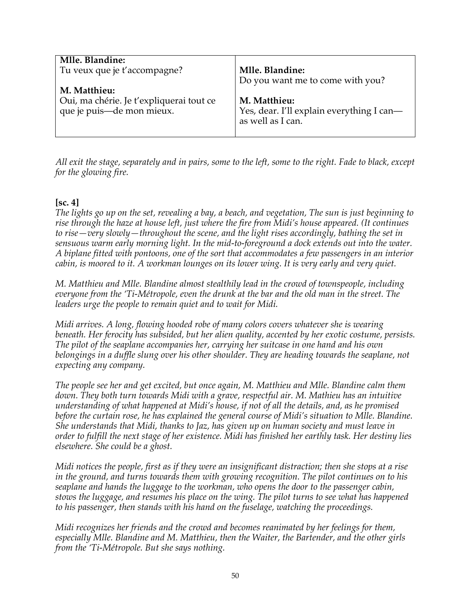| Mlle. Blandine:<br>Tu veux que je t'accompagne?<br>M. Matthieu:       | Mlle. Blandine:<br>Do you want me to come with you?                            |
|-----------------------------------------------------------------------|--------------------------------------------------------------------------------|
| Oui, ma chérie. Je t'expliquerai tout ce<br>que je puis—de mon mieux. | M. Matthieu:<br>Yes, dear. I'll explain everything I can-<br>as well as I can. |

*All exit the stage, separately and in pairs, some to the left, some to the right. Fade to black, except for the glowing fire.*

## **[sc. 4]**

*The lights go up on the set, revealing a bay, a beach, and vegetation, The sun is just beginning to rise through the haze at house left, just where the fire from Midi's house appeared. (It continues to rise—very slowly—throughout the scene, and the light rises accordingly, bathing the set in sensuous warm early morning light. In the mid-to-foreground a dock extends out into the water. A biplane fitted with pontoons, one of the sort that accommodates a few passengers in an interior cabin, is moored to it. A workman lounges on its lower wing. It is very early and very quiet.*

*M. Matthieu and Mlle. Blandine almost stealthily lead in the crowd of townspeople, including everyone from the 'Ti-Métropole, even the drunk at the bar and the old man in the street. The leaders urge the people to remain quiet and to wait for Midi.*

*Midi arrives. A long, flowing hooded robe of many colors covers whatever she is wearing beneath. Her ferocity has subsided, but her alien quality, accented by her exotic costume, persists. The pilot of the seaplane accompanies her, carrying her suitcase in one hand and his own belongings in a duffle slung over his other shoulder. They are heading towards the seaplane, not expecting any company.*

*The people see her and get excited, but once again, M. Matthieu and Mlle. Blandine calm them down. They both turn towards Midi with a grave, respectful air. M. Mathieu has an intuitive understanding of what happened at Midi's house, if not of all the details, and, as he promised before the curtain rose, he has explained the general course of Midi's situation to Mlle. Blandine. She understands that Midi, thanks to Jaz, has given up on human society and must leave in order to fulfill the next stage of her existence. Midi has finished her earthly task. Her destiny lies elsewhere. She could be a ghost.*

*Midi notices the people, first as if they were an insignificant distraction; then she stops at a rise in the ground, and turns towards them with growing recognition. The pilot continues on to his seaplane and hands the luggage to the workman, who opens the door to the passenger cabin, stows the luggage, and resumes his place on the wing. The pilot turns to see what has happened to his passenger, then stands with his hand on the fuselage, watching the proceedings.*

*Midi recognizes her friends and the crowd and becomes reanimated by her feelings for them, especially Mlle. Blandine and M. Matthieu, then the Waiter, the Bartender, and the other girls from the 'Ti-Métropole. But she says nothing.*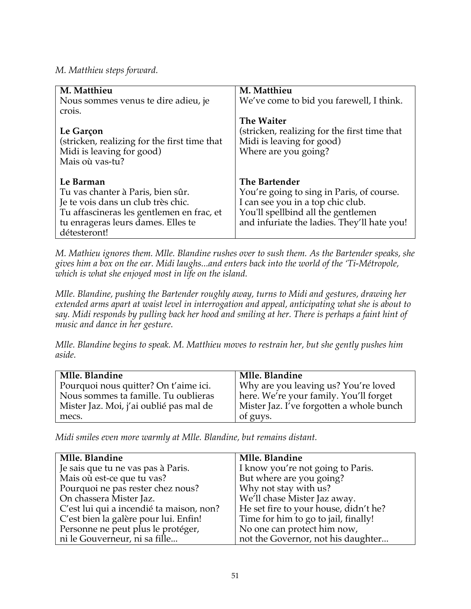#### *M. Matthieu steps forward.*

| M. Matthieu                                                                                                                                                                             | M. Matthieu                                                                                                                                                                          |
|-----------------------------------------------------------------------------------------------------------------------------------------------------------------------------------------|--------------------------------------------------------------------------------------------------------------------------------------------------------------------------------------|
| Nous sommes venus te dire adieu, je<br>crois.                                                                                                                                           | We've come to bid you farewell, I think.                                                                                                                                             |
| Le Garçon<br>(stricken, realizing for the first time that<br>Midi is leaving for good)<br>Mais où vas-tu?                                                                               | <b>The Waiter</b><br>(stricken, realizing for the first time that<br>Midi is leaving for good)<br>Where are you going?                                                               |
| Le Barman<br>Tu vas chanter à Paris, bien sûr.<br>Je te vois dans un club très chic.<br>Tu affascineras les gentlemen en frac, et<br>tu enrageras leurs dames. Elles te<br>détesteront! | The Bartender<br>You're going to sing in Paris, of course.<br>I can see you in a top chic club.<br>You'll spellbind all the gentlemen<br>and infuriate the ladies. They'll hate you! |

*M. Mathieu ignores them. Mlle. Blandine rushes over to sush them. As the Bartender speaks, she gives him a box on the ear. Midi laughs...and enters back into the world of the 'Ti-Métropole, which is what she enjoyed most in life on the island.*

*Mlle. Blandine, pushing the Bartender roughly away, turns to Midi and gestures, drawing her extended arms apart at waist level in interrogation and appeal, anticipating what she is about to say. Midi responds by pulling back her hood and smiling at her. There is perhaps a faint hint of music and dance in her gesture.*

*Mlle. Blandine begins to speak. M. Matthieu moves to restrain her, but she gently pushes him aside.*

| Mlle. Blandine                          | Mlle. Blandine                           |
|-----------------------------------------|------------------------------------------|
| Pourquoi nous quitter? On t'aime ici.   | Why are you leaving us? You're loved     |
| Nous sommes ta famille. Tu oublieras    | here. We're your family. You'll forget   |
| Mister Jaz. Moi, j'ai oublié pas mal de | Mister Jaz. I've forgotten a whole bunch |
| mecs.                                   | of guys.                                 |

*Midi smiles even more warmly at Mlle. Blandine, but remains distant.*

| Mlle. Blandine                           | Mlle. Blandine                        |
|------------------------------------------|---------------------------------------|
| Je sais que tu ne vas pas à Paris.       | I know you're not going to Paris.     |
| Mais où est-ce que tu vas?               | But where are you going?              |
| Pourquoi ne pas rester chez nous?        | Why not stay with us?                 |
| On chassera Mister Jaz.                  | We'll chase Mister Jaz away.          |
| C'est lui qui a incendié ta maison, non? | He set fire to your house, didn't he? |
| C'est bien la galère pour lui. Enfin!    | Time for him to go to jail, finally!  |
| Personne ne peut plus le protéger,       | No one can protect him now,           |
| ni le Gouverneur, ni sa fille            | not the Governor, not his daughter    |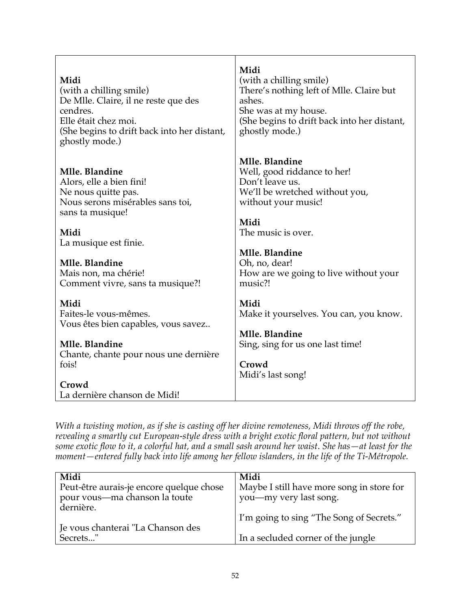| Midi                                                                                                                              | Midi                                                                                                                                                    |
|-----------------------------------------------------------------------------------------------------------------------------------|---------------------------------------------------------------------------------------------------------------------------------------------------------|
| (with a chilling smile)                                                                                                           | (with a chilling smile)                                                                                                                                 |
| De Mlle. Claire, il ne reste que des                                                                                              | There's nothing left of Mlle. Claire but                                                                                                                |
| cendres.                                                                                                                          | ashes.                                                                                                                                                  |
| Elle était chez moi.                                                                                                              | She was at my house.                                                                                                                                    |
| (She begins to drift back into her distant,                                                                                       | (She begins to drift back into her distant,                                                                                                             |
| ghostly mode.)                                                                                                                    | ghostly mode.)                                                                                                                                          |
| Mlle. Blandine<br>Alors, elle a bien fini!<br>Ne nous quitte pas.<br>Nous serons misérables sans toi,<br>sans ta musique!<br>Midi | Mlle. Blandine<br>Well, good riddance to her!<br>Don't leave us.<br>We'll be wretched without you,<br>without your music!<br>Midi<br>The music is over. |
| La musique est finie.                                                                                                             | Mlle. Blandine                                                                                                                                          |
| Mlle. Blandine                                                                                                                    | Oh, no, dear!                                                                                                                                           |
| Mais non, ma chérie!                                                                                                              | How are we going to live without your                                                                                                                   |
| Comment vivre, sans ta musique?!                                                                                                  | music?!                                                                                                                                                 |
| Midi                                                                                                                              | Midi                                                                                                                                                    |
| Faites-le vous-mêmes.                                                                                                             | Make it yourselves. You can, you know.                                                                                                                  |
| Vous êtes bien capables, vous savez                                                                                               | Mlle. Blandine                                                                                                                                          |
| Mlle. Blandine                                                                                                                    | Sing, sing for us one last time!                                                                                                                        |
| Chante, chante pour nous une dernière                                                                                             | Crowd                                                                                                                                                   |
| fois!                                                                                                                             | Midi's last song!                                                                                                                                       |
| Crowd<br>La dernière chanson de Midi!                                                                                             |                                                                                                                                                         |

*With a twisting motion, as if she is casting off her divine remoteness, Midi throws off the robe, revealing a smartly cut European-style dress with a bright exotic floral pattern, but not without some exotic flow to it, a colorful hat, and a small sash around her waist*. *She has—at least for the moment—entered fully back into life among her fellow islanders, in the life of the Ti-Métropole.*

| Midi                                          | Midi                                      |
|-----------------------------------------------|-------------------------------------------|
| Peut-être aurais-je encore quelque chose      | Maybe I still have more song in store for |
| pour vous-ma chanson la toute<br>dernière.    | you—my very last song.                    |
|                                               | I'm going to sing "The Song of Secrets."  |
| Ie vous chanterai "La Chanson des<br>Secrets" | In a secluded corner of the jungle        |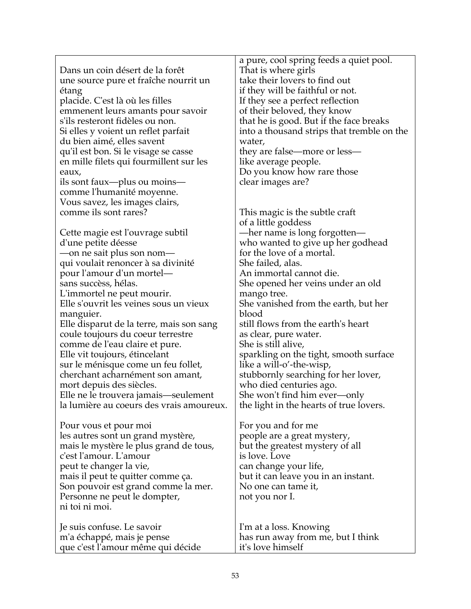|                                          | a pure, cool spring feeds a quiet pool.    |
|------------------------------------------|--------------------------------------------|
| Dans un coin désert de la forêt          | That is where girls                        |
| une source pure et fraîche nourrit un    | take their lovers to find out              |
| étang                                    | if they will be faithful or not.           |
| placide. C'est là où les filles          | If they see a perfect reflection           |
| emmenent leurs amants pour savoir        | of their beloved, they know                |
| s'ils resteront fidèles ou non.          | that he is good. But if the face breaks    |
| Si elles y voient un reflet parfait      | into a thousand strips that tremble on the |
| du bien aimé, elles savent               | water,                                     |
| qu'il est bon. Si le visage se casse     | they are false—more or less—               |
|                                          |                                            |
| en mille filets qui fourmillent sur les  | like average people.                       |
| eaux,                                    | Do you know how rare those                 |
| ils sont faux—plus ou moins—             | clear images are?                          |
| comme l'humanité moyenne.                |                                            |
| Vous savez, les images clairs,           |                                            |
| comme ils sont rares?                    | This magic is the subtle craft             |
|                                          | of a little goddess                        |
| Cette magie est l'ouvrage subtil         | -her name is long forgotten-               |
| d'une petite déesse                      | who wanted to give up her godhead          |
| —on ne sait plus son nom—                | for the love of a mortal.                  |
| qui voulait renoncer à sa divinité       | She failed, alas.                          |
| pour l'amour d'un mortel—                | An immortal cannot die.                    |
| sans succèss, hélas.                     | She opened her veins under an old          |
| L'immortel ne peut mourir.               | mango tree.                                |
| Elle s'ouvrit les veines sous un vieux   | She vanished from the earth, but her       |
| manguier.                                | blood                                      |
| Elle disparut de la terre, mais son sang | still flows from the earth's heart         |
| coule toujours du coeur terrestre        | as clear, pure water.                      |
| comme de l'eau claire et pure.           | She is still alive,                        |
| Elle vit toujours, étincelant            | sparkling on the tight, smooth surface     |
| sur le ménisque come un feu follet,      | like a will-o'-the-wisp,                   |
| cherchant acharnément son amant,         | stubbornly searching for her lover,        |
| mort depuis des siècles.                 | who died centuries ago.                    |
| Elle ne le trouvera jamais—seulement     | She won't find him ever—only               |
| la lumière au coeurs des vrais amoureux. | the light in the hearts of true lovers.    |
|                                          |                                            |
| Pour vous et pour moi                    | For you and for me                         |
| les autres sont un grand mystère,        | people are a great mystery,                |
| mais le mystère le plus grand de tous,   | but the greatest mystery of all            |
| c'est l'amour. L'amour                   | is love. Love                              |
| peut te changer la vie,                  | can change your life,                      |
| mais il peut te quitter comme ça.        | but it can leave you in an instant.        |
|                                          |                                            |
| Son pouvoir est grand comme la mer.      | No one can tame it,                        |
| Personne ne peut le dompter,             | not you nor I.                             |
| ni toi ni moi.                           |                                            |
|                                          |                                            |
| Je suis confuse. Le savoir               | I'm at a loss. Knowing                     |
| m'a échappé, mais je pense               | has run away from me, but I think          |
| que c'est l'amour même qui décide        | it's love himself                          |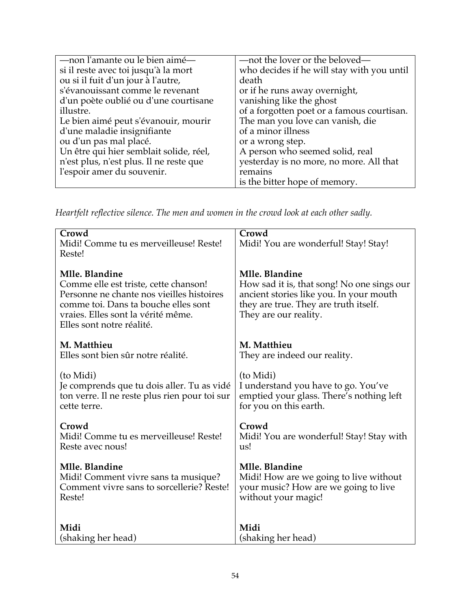| who decides if he will stay with you until |
|--------------------------------------------|
|                                            |
|                                            |
|                                            |
|                                            |
|                                            |
| of a forgotten poet or a famous courtisan. |
|                                            |
|                                            |
|                                            |
|                                            |
| yesterday is no more, no more. All that    |
|                                            |
|                                            |
|                                            |

*Heartfelt reflective silence. The men and women in the crowd look at each other sadly.*

| Crowd<br>Midi! Comme tu es merveilleuse! Reste!<br>Reste!                                                                                                                                                       | Crowd<br>Midi! You are wonderful! Stay! Stay!                                                                                                                             |
|-----------------------------------------------------------------------------------------------------------------------------------------------------------------------------------------------------------------|---------------------------------------------------------------------------------------------------------------------------------------------------------------------------|
| Mlle. Blandine<br>Comme elle est triste, cette chanson!<br>Personne ne chante nos vieilles histoires<br>comme toi. Dans ta bouche elles sont<br>vraies. Elles sont la vérité même.<br>Elles sont notre réalité. | Mlle. Blandine<br>How sad it is, that song! No one sings our<br>ancient stories like you. In your mouth<br>they are true. They are truth itself.<br>They are our reality. |
| M. Matthieu<br>Elles sont bien sûr notre réalité.                                                                                                                                                               | M. Matthieu<br>They are indeed our reality.                                                                                                                               |
| (to Midi)<br>Je comprends que tu dois aller. Tu as vidé<br>ton verre. Il ne reste plus rien pour toi sur<br>cette terre.                                                                                        | (to Midi)<br>I understand you have to go. You've<br>emptied your glass. There's nothing left<br>for you on this earth.                                                    |
| Crowd<br>Midi! Comme tu es merveilleuse! Reste!<br>Reste avec nous!                                                                                                                                             | Crowd<br>Midi! You are wonderful! Stay! Stay with<br>us!                                                                                                                  |
| Mlle. Blandine<br>Midi! Comment vivre sans ta musique?<br>Comment vivre sans to sorcellerie? Reste!<br>Reste!                                                                                                   | Mlle. Blandine<br>Midi! How are we going to live without<br>your music? How are we going to live<br>without your magic!                                                   |
| Midi                                                                                                                                                                                                            | Midi                                                                                                                                                                      |
| (shaking her head)                                                                                                                                                                                              | (shaking her head)                                                                                                                                                        |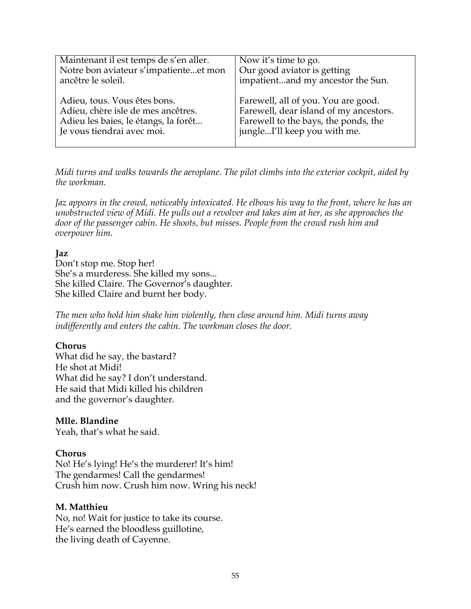| Maintenant il est temps de s'en aller. | Now it's time to go.                   |
|----------------------------------------|----------------------------------------|
| Notre bon aviateur s'impatienteet mon  | Our good aviator is getting            |
| ancêtre le soleil.                     | impatientand my ancestor the Sun.      |
| Adieu, tous. Vous êtes bons.           | Farewell, all of you. You are good.    |
| Adieu, chère isle de mes ancêtres.     | Farewell, dear island of my ancestors. |
| Adieu les baies, le étangs, la forêt   | Farewell to the bays, the ponds, the   |
| Je vous tiendrai avec moi.             | jungleI'll keep you with me.           |

*Midi turns and walks towards the aeroplane. The pilot climbs into the exterior cockpit, aided by the workman.*

*Jaz appears in the crowd, noticeably intoxicated. He elbows his way to the front, where he has an unobstructed view of Midi. He pulls out a revolver and takes aim at her, as she approaches the door of the passenger cabin. He shoots, but misses. People from the crowd rush him and overpower him.*

## **Jaz**

Don't stop me. Stop her! She's a murderess. She killed my sons... She killed Claire. The Governor's daughter. She killed Claire and burnt her body.

*The men who hold him shake him violently, then close around him. Midi turns away indifferently and enters the cabin. The workman closes the door.*

#### **Chorus**

What did he say, the bastard? He shot at Midi! What did he say? I don't understand. He said that Midi killed his children and the governor's daughter.

#### **Mlle. Blandine**

Yeah, that's what he said.

#### **Chorus**

No! He's lying! He's the murderer! It's him! The gendarmes! Call the gendarmes! Crush him now. Crush him now. Wring his neck!

#### **M. Matthieu**

No, no! Wait for justice to take its course. He's earned the bloodless guillotine, the living death of Cayenne.